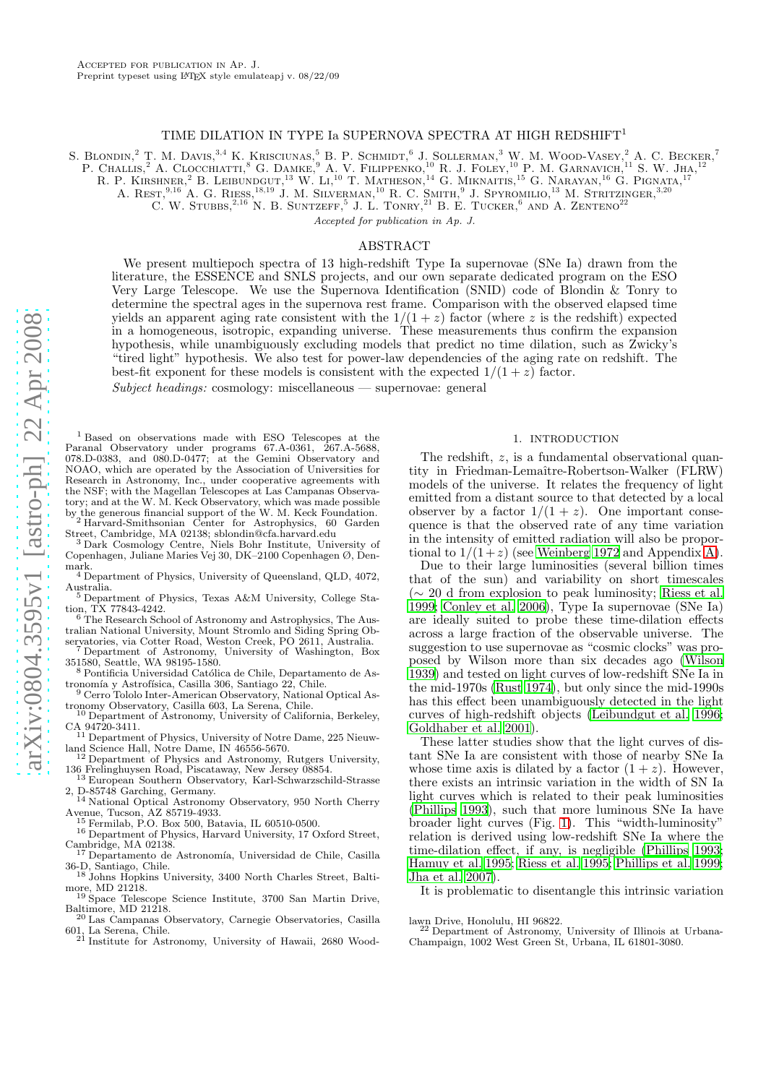# TIME DILATION IN TYPE Ia SUPERNOVA SPECTRA AT HIGH REDSHIFT<sup>1</sup>

S. BLONDIN,<sup>2</sup> T. M. DAVIS,<sup>3,4</sup> K. KRISCIUNAS,<sup>5</sup> B. P. SCHMIDT,<sup>6</sup> J. SOLLERMAN,<sup>3</sup> W. M. WOOD-VASEY,<sup>2</sup> A. C. BECKER,<sup>7</sup>

P. CHALLIS,<sup>2</sup> A. CLOCCHIATTI,<sup>8</sup> G. DAMKE,<sup>9</sup> A. V. FILIPPENKO,<sup>10</sup> R. J. FOLEY,<sup>10</sup> P. M. GARNAVICH,<sup>11</sup> S. W. JHA,<sup>12</sup>

R. P. KIRSHNER,<sup>2</sup> B. LEIBUNDGUT,<sup>13</sup> W. Li,<sup>10</sup> T. MATHESON,<sup>14</sup> G. MIKNAITIS,<sup>15</sup> G. NARAYAN,<sup>16</sup> G. PIGNATA,<sup>17</sup>

A. REST,  $9,16$  A. G. RIESS,  $18,19$  J. M. SILVERMAN,  $10$  R. C. SMITH,  $9$  J. SPYROMILIO,  $13$  M. STRITZINGER,  $3,20$ 

C. W. STUBBS,  $^{2,16}$  N. B. SUNTZEFF, <sup>5</sup> J. L. TONRY, <sup>21</sup> B. E. TUCKER, <sup>6</sup> AND A. ZENTENO<sup>22</sup>

*Accepted for publication in Ap. J.*

# ABSTRACT

We present multiepoch spectra of 13 high-redshift Type Ia supernovae (SNe Ia) drawn from the literature, the ESSENCE and SNLS projects, and our own separate dedicated program on the ESO Very Large Telescope. We use the Supernova Identification (SNID) code of Blondin & Tonry to determine the spectral ages in the supernova rest frame. Comparison with the observed elapsed time yields an apparent aging rate consistent with the  $1/(1+z)$  factor (where z is the redshift) expected in a homogeneous, isotropic, expanding universe. These measurements thus confirm the expansion hypothesis, while unambiguously excluding models that predict no time dilation, such as Zwicky's "tired light" hypothesis. We also test for power-law dependencies of the aging rate on redshift. The best-fit exponent for these models is consistent with the expected  $1/(1+z)$  factor.

Subject headings: cosmology: miscellaneous — supernovae: general

<span id="page-0-0"></span><sup>1</sup> Based on observations made with ESO Telescopes at the Paranal Observatory under programs 67.A-0361, 267.A-5688, 078.D-0383, and 080.D-0477; at the Gemini Observatory and NOAO, which are operated by the Association of Universities for Research in Astronomy, Inc., under cooperative agreements with the NSF; with the Magellan Telescopes at Las Campanas Observatory; and at the W. M. Keck Observatory, which was made possible by the generous financial support of the W. M. Keck Foundation. <sup>2</sup> Harvard-Smithsonian Center for Astrophysics, 60 Garden

Street, Cambridge, MA 02138; sblondin@cfa.harvard.edu <sup>3</sup> Dark Cosmology Centre, Niels Bohr Institute, University of

Copenhagen, Juliane Maries Vej 30, DK–2100 Copenhagen Ø, Denmark. <sup>4</sup> Department of Physics, University of Queensland, QLD, 4072,

Australia. <sup>5</sup> Department of Physics, Texas A&M University, College Sta-

- tion, TX 77843-4242.
- <sup>6</sup> The Research School of Astronomy and Astrophysics, The Australian National University, Mount Stromlo and Siding Spring Ob-

servatories, via Cotter Road, Weston Creek, PO 2611, Australia. <sup>7</sup> Department of Astronomy, University of Washington, Box

- 351580, Seattle, WA 98195-1580. <sup>3</sup> Pontificia Universidad Católica de Chile, Departamento de As-
- tronomía y Astrofísica, Casilla 306, Santiago 22, Chile. <sup>9</sup> Cerro Tololo Inter-American Observatory, National Optical As-
- tronomy Observatory, Casilla 603, La Serena, Chile. <sup>10</sup> Department of Astronomy, University of California, Berkeley,
- CA 94720-3411. <sup>11</sup> Department of Physics, University of Notre Dame, 225 Nieuwland Science Hall, Notre Dame, IN 46556-5670.
- <sup>12</sup> Department of Physics and Astronomy, Rutgers University, 136 Frelinghuysen Road, Piscataway, New Jersey 08854.
- <sup>13</sup> European Southern Observatory, Karl-Schwarzschild-Strasse 2, D-85748 Garching, Germany.
- <sup>14</sup> National Optical Astronomy Observatory, 950 North Cherry Avenue, Tucson, AZ 85719-4933.
	- Fermilab, P.O. Box 500, Batavia, IL 60510-0500.
- <sup>16</sup> Department of Physics, Harvard University, 17 Oxford Street, Cambridge, MA 02138.
- <sup>17</sup> Departamento de Astronomía, Universidad de Chile, Casilla 36-D, Santiago, Chile. <sup>18</sup> Johns Hopkins University, 3400 North Charles Street, Balti-
- more, MD 21218.
- <sup>19</sup> Space Telescope Science Institute, 3700 San Martin Drive, Baltimore, MD 21218.
- <sup>20</sup> Las Campanas Observatory, Carnegie Observatories, Casilla 601, La Serena, Chile. <sup>21</sup> Institute for Astronomy, University of Hawaii, 2680 Wood-
- 

# 1. INTRODUCTION

The redshift, z, is a fundamental observational quantity in Friedman-Lemaître-Robertson-Walker (FLRW) models of the universe. It relates the frequency of light emitted from a distant source to that detected by a local observer by a factor  $1/(1 + z)$ . One important consequence is that the observed rate of any time variation in the intensity of emitted radiation will also be proportional to  $1/(1+z)$  (see [Weinberg 1972](#page-13-0) and Appendix [A\)](#page-9-0).

Due to their large luminosities (several billion times that of the sun) and variability on short timescales (∼ 20 d from explosion to peak luminosity; [Riess et al.](#page-13-1) [1999;](#page-13-1) [Conley et al. 2006\)](#page-12-0), Type Ia supernovae (SNe Ia) are ideally suited to probe these time-dilation effects across a large fraction of the observable universe. The suggestion to use supernovae as "cosmic clocks" was proposed by Wilson more than six decades ago [\(Wilson](#page-13-2) [1939\)](#page-13-2) and tested on light curves of low-redshift SNe Ia in the mid-1970s [\(Rust 1974\)](#page-13-3), but only since the mid-1990s has this effect been unambiguously detected in the light curves of high-redshift objects [\(Leibundgut et al. 1996](#page-13-4); [Goldhaber et al. 2001](#page-12-1)).

These latter studies show that the light curves of distant SNe Ia are consistent with those of nearby SNe Ia whose time axis is dilated by a factor  $(1 + z)$ . However, there exists an intrinsic variation in the width of SN Ia light curves which is related to their peak luminosities [\(Phillips 1993\)](#page-13-5), such that more luminous SNe Ia have broader light curves (Fig. [1\)](#page-1-0). This "width-luminosity" relation is derived using low-redshift SNe Ia where the time-dilation effect, if any, is negligible [\(Phillips 1993](#page-13-5); [Hamuy et al. 1995;](#page-12-2) [Riess et al. 1995;](#page-13-6) [Phillips et al. 1999](#page-13-7); [Jha et al. 2007\)](#page-13-8).

It is problematic to disentangle this intrinsic variation

lawn Drive, Honolulu, HI 96822. <sup>22</sup> Department of Astronomy, University of Illinois at Urbana-Champaign, 1002 West Green St, Urbana, IL 61801-3080.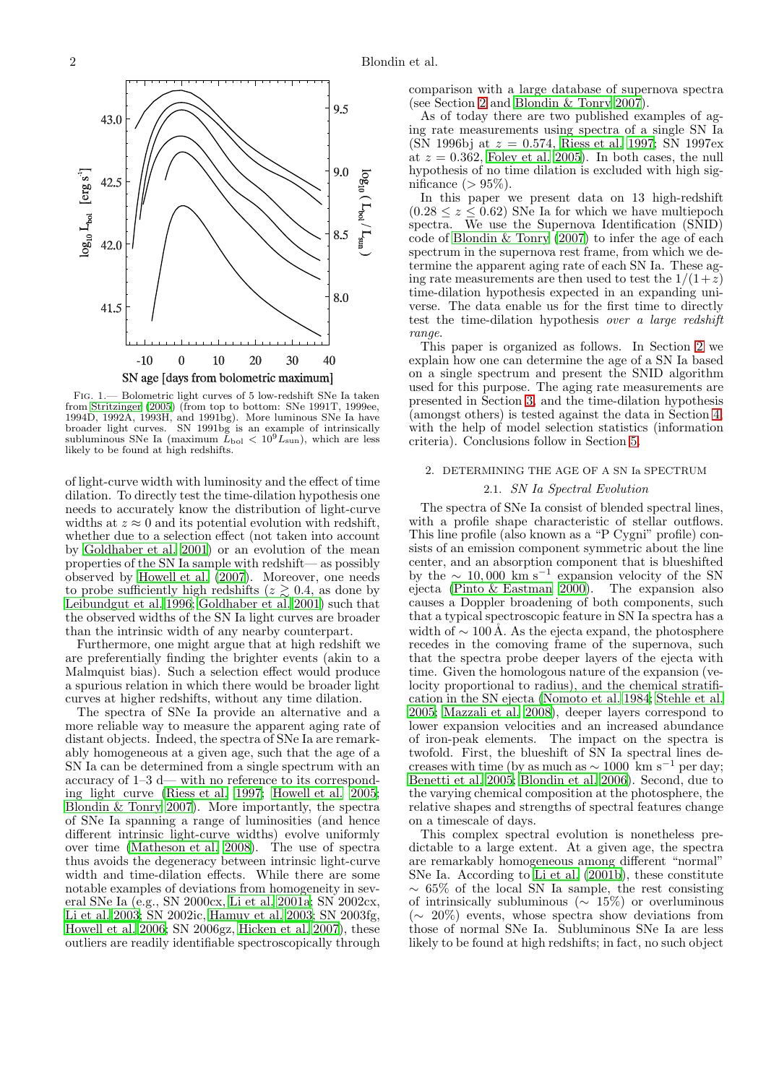

<span id="page-1-0"></span>Fig. 1.— Bolometric light curves of 5 low-redshift SNe Ia taken from [Stritzinger \(2005](#page-13-9)) (from top to bottom: SNe 1991T, 1999ee, 1994D, 1992A, 1993H, and 1991bg). More luminous SNe Ia have broader light curves. SN 1991bg is an example of intrinsically subluminous SNe Ia (maximum  $L_{\text{bol}} < 10^9 L_{\text{sun}}$ ), which are less likely to be found at high redshifts.

of light-curve width with luminosity and the effect of time dilation. To directly test the time-dilation hypothesis one needs to accurately know the distribution of light-curve widths at  $z \approx 0$  and its potential evolution with redshift, whether due to a selection effect (not taken into account by [Goldhaber et al. 2001](#page-12-1)) or an evolution of the mean properties of the SN Ia sample with redshift— as possibly observed by [Howell et al. \(2007](#page-13-10)). Moreover, one needs to probe sufficiently high redshifts ( $z \gtrsim 0.4$ , as done by [Leibundgut et al. 1996;](#page-13-4) [Goldhaber et al. 2001\)](#page-12-1) such that the observed widths of the SN Ia light curves are broader than the intrinsic width of any nearby counterpart.

Furthermore, one might argue that at high redshift we are preferentially finding the brighter events (akin to a Malmquist bias). Such a selection effect would produce a spurious relation in which there would be broader light curves at higher redshifts, without any time dilation.

The spectra of SNe Ia provide an alternative and a more reliable way to measure the apparent aging rate of distant objects. Indeed, the spectra of SNe Ia are remarkably homogeneous at a given age, such that the age of a SN Ia can be determined from a single spectrum with an accuracy of 1–3 d— with no reference to its corresponding light curve [\(Riess et al. 1997;](#page-13-11) [Howell et al. 2005;](#page-13-12) [Blondin & Tonry 2007](#page-12-3)). More importantly, the spectra of SNe Ia spanning a range of luminosities (and hence different intrinsic light-curve widths) evolve uniformly over time [\(Matheson et al. 2008\)](#page-13-13). The use of spectra thus avoids the degeneracy between intrinsic light-curve width and time-dilation effects. While there are some notable examples of deviations from homogeneity in several SNe Ia (e.g., SN 2000cx, [Li et al. 2001a;](#page-13-14) SN 2002cx, [Li et al. 2003](#page-13-15); SN 2002ic, [Hamuy et al. 2003;](#page-13-16) SN 2003fg, [Howell et al. 2006;](#page-13-17) SN 2006gz, [Hicken et al. 2007](#page-13-18)), these outliers are readily identifiable spectroscopically through comparison with a large database of supernova spectra (see Section [2](#page-1-1) and [Blondin & Tonry 2007](#page-12-3)).

As of today there are two published examples of aging rate measurements using spectra of a single SN Ia (SN 1996bj at  $z = 0.574$ , [Riess et al. 1997;](#page-13-11) SN 1997ex at  $z = 0.362$ , [Foley et al. 2005](#page-12-4)). In both cases, the null hypothesis of no time dilation is excluded with high significance  $(> 95\%).$ 

In this paper we present data on 13 high-redshift  $(0.28 \le z \le 0.62)$  SNe Ia for which we have multiepoch spectra. We use the Supernova Identification (SNID) code of [Blondin & Tonry \(2007\)](#page-12-3) to infer the age of each spectrum in the supernova rest frame, from which we determine the apparent aging rate of each SN Ia. These aging rate measurements are then used to test the  $1/(1+\overline{z})$ time-dilation hypothesis expected in an expanding universe. The data enable us for the first time to directly test the time-dilation hypothesis over a large redshift range.

This paper is organized as follows. In Section [2](#page-1-1) we explain how one can determine the age of a SN Ia based on a single spectrum and present the SNID algorithm used for this purpose. The aging rate measurements are presented in Section [3,](#page-3-0) and the time-dilation hypothesis (amongst others) is tested against the data in Section [4,](#page-6-0) with the help of model selection statistics (information criteria). Conclusions follow in Section [5.](#page-8-0)

# <span id="page-1-1"></span>2. DETERMINING THE AGE OF A SN Ia SPECTRUM

# 2.1. SN Ia Spectral Evolution

The spectra of SNe Ia consist of blended spectral lines, with a profile shape characteristic of stellar outflows. This line profile (also known as a "P Cygni" profile) consists of an emission component symmetric about the line center, and an absorption component that is blueshifted by the  $\sim 10,000 \text{ km s}^{-1}$  expansion velocity of the SN ejecta [\(Pinto & Eastman 2000\)](#page-13-19). The expansion also causes a Doppler broadening of both components, such that a typical spectroscopic feature in SN Ia spectra has a width of  $\sim 100 \text{\AA}$ . As the ejecta expand, the photosphere recedes in the comoving frame of the supernova, such that the spectra probe deeper layers of the ejecta with time. Given the homologous nature of the expansion (velocity proportional to radius), and the chemical stratification in the SN ejecta [\(Nomoto et al. 1984;](#page-13-20) [Stehle et al.](#page-13-21) [2005;](#page-13-21) [Mazzali et al. 2008\)](#page-13-22), deeper layers correspond to lower expansion velocities and an increased abundance of iron-peak elements. The impact on the spectra is twofold. First, the blueshift of  $\tilde{S}N$  Ia spectral lines decreases with time (by as much as  $\sim 1000$  km s<sup>-1</sup> per day; [Benetti et al. 2005](#page-12-5); [Blondin et al. 2006\)](#page-12-6). Second, due to the varying chemical composition at the photosphere, the relative shapes and strengths of spectral features change on a timescale of days.

This complex spectral evolution is nonetheless predictable to a large extent. At a given age, the spectra are remarkably homogeneous among different "normal" SNe Ia. According to [Li et al. \(2001b\)](#page-13-23), these constitute  $\sim 65\%$  of the local SN Ia sample, the rest consisting of intrinsically subluminous ( $\sim 15\%$ ) or overluminous (∼ 20%) events, whose spectra show deviations from those of normal SNe Ia. Subluminous SNe Ia are less likely to be found at high redshifts; in fact, no such object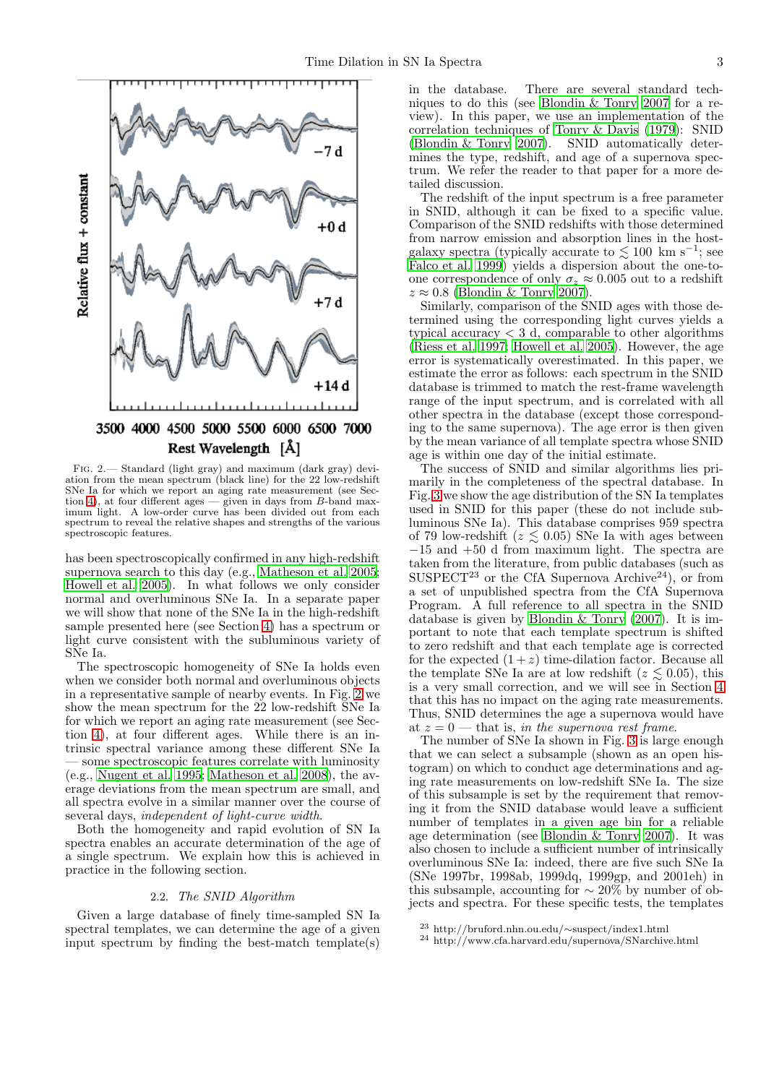

<span id="page-2-0"></span>Fig. 2.— Standard (light gray) and maximum (dark gray) deviation from the mean spectrum (black line) for the 22 low-redshift SNe Ia for which we report an aging rate measurement (see Sec-tion [4\)](#page-6-0), at four different ages  $-$  given in days from  $B$ -band maximum light. A low-order curve has been divided out from each spectrum to reveal the relative shapes and strengths of the various spectroscopic features.

has been spectroscopically confirmed in any high-redshift supernova search to this day (e.g., [Matheson et al. 2005;](#page-13-24) [Howell et al. 2005\)](#page-13-12). In what follows we only consider normal and overluminous SNe Ia. In a separate paper we will show that none of the SNe Ia in the high-redshift sample presented here (see Section [4\)](#page-6-0) has a spectrum or light curve consistent with the subluminous variety of SNe Ia.

The spectroscopic homogeneity of SNe Ia holds even when we consider both normal and overluminous objects in a representative sample of nearby events. In Fig. [2](#page-2-0) we show the mean spectrum for the 22 low-redshift SNe Ia for which we report an aging rate measurement (see Section [4\)](#page-6-0), at four different ages. While there is an intrinsic spectral variance among these different SNe Ia — some spectroscopic features correlate with luminosity (e.g., [Nugent et al. 1995;](#page-13-25) [Matheson et al. 2008](#page-13-13)), the average deviations from the mean spectrum are small, and all spectra evolve in a similar manner over the course of several days, independent of light-curve width.

Both the homogeneity and rapid evolution of SN Ia spectra enables an accurate determination of the age of a single spectrum. We explain how this is achieved in practice in the following section.

# 2.2. The SNID Algorithm

<span id="page-2-1"></span>Given a large database of finely time-sampled SN Ia spectral templates, we can determine the age of a given input spectrum by finding the best-match template(s) in the database. There are several standard techniques to do this (see [Blondin & Tonry 2007](#page-12-3) for a review). In this paper, we use an implementation of the correlation techniques of [Tonry & Davis \(1979](#page-13-26)): SNID [\(Blondin & Tonry 2007\)](#page-12-3). SNID automatically determines the type, redshift, and age of a supernova spectrum. We refer the reader to that paper for a more detailed discussion.

The redshift of the input spectrum is a free parameter in SNID, although it can be fixed to a specific value. Comparison of the SNID redshifts with those determined from narrow emission and absorption lines in the hostgalaxy spectra (typically accurate to  $\lesssim 100$  km s<sup>-1</sup>; see [Falco et al. 1999](#page-12-7)) yields a dispersion about the one-toone correspondence of only  $\sigma_z \approx 0.005$  out to a redshift  $z \approx 0.8$  [\(Blondin & Tonry 2007\)](#page-12-3).

Similarly, comparison of the SNID ages with those determined using the corresponding light curves yields a typical accuracy  $\lt 3$  d, comparable to other algorithms [\(Riess et al. 1997;](#page-13-11) [Howell et al. 2005\)](#page-13-12). However, the age error is systematically overestimated. In this paper, we estimate the error as follows: each spectrum in the SNID database is trimmed to match the rest-frame wavelength range of the input spectrum, and is correlated with all other spectra in the database (except those corresponding to the same supernova). The age error is then given by the mean variance of all template spectra whose SNID age is within one day of the initial estimate.

The success of SNID and similar algorithms lies primarily in the completeness of the spectral database. In Fig. [3](#page-3-1) we show the age distribution of the SN Ia templates used in SNID for this paper (these do not include subluminous SNe Ia). This database comprises 959 spectra of 79 low-redshift ( $z \leq 0.05$ ) SNe Ia with ages between −15 and +50 d from maximum light. The spectra are taken from the literature, from public databases (such as SUSPECT<sup>23</sup> or the CfA Supernova Archive<sup>24</sup>), or from a set of unpublished spectra from the CfA Supernova Program. A full reference to all spectra in the SNID database is given by [Blondin & Tonry \(2007](#page-12-3)). It is important to note that each template spectrum is shifted to zero redshift and that each template age is corrected for the expected  $(1+z)$  time-dilation factor. Because all the template SNe Ia are at low redshift ( $z \lesssim 0.05$ ), this is a very small correction, and we will see in Section [4](#page-6-0) that this has no impact on the aging rate measurements. Thus, SNID determines the age a supernova would have at  $z = 0$  — that is, in the supernova rest frame.

The number of SNe Ia shown in Fig. [3](#page-3-1) is large enough that we can select a subsample (shown as an open histogram) on which to conduct age determinations and aging rate measurements on low-redshift SNe Ia. The size of this subsample is set by the requirement that removing it from the SNID database would leave a sufficient number of templates in a given age bin for a reliable age determination (see [Blondin & Tonry 2007\)](#page-12-3). It was also chosen to include a sufficient number of intrinsically overluminous SNe Ia: indeed, there are five such SNe Ia (SNe 1997br, 1998ab, 1999dq, 1999gp, and 2001eh) in this subsample, accounting for  $\sim 20\%$  by number of objects and spectra. For these specific tests, the templates

<sup>23</sup> http://bruford.nhn.ou.edu/∼suspect/index1.html

<sup>24</sup> http://www.cfa.harvard.edu/supernova/SNarchive.html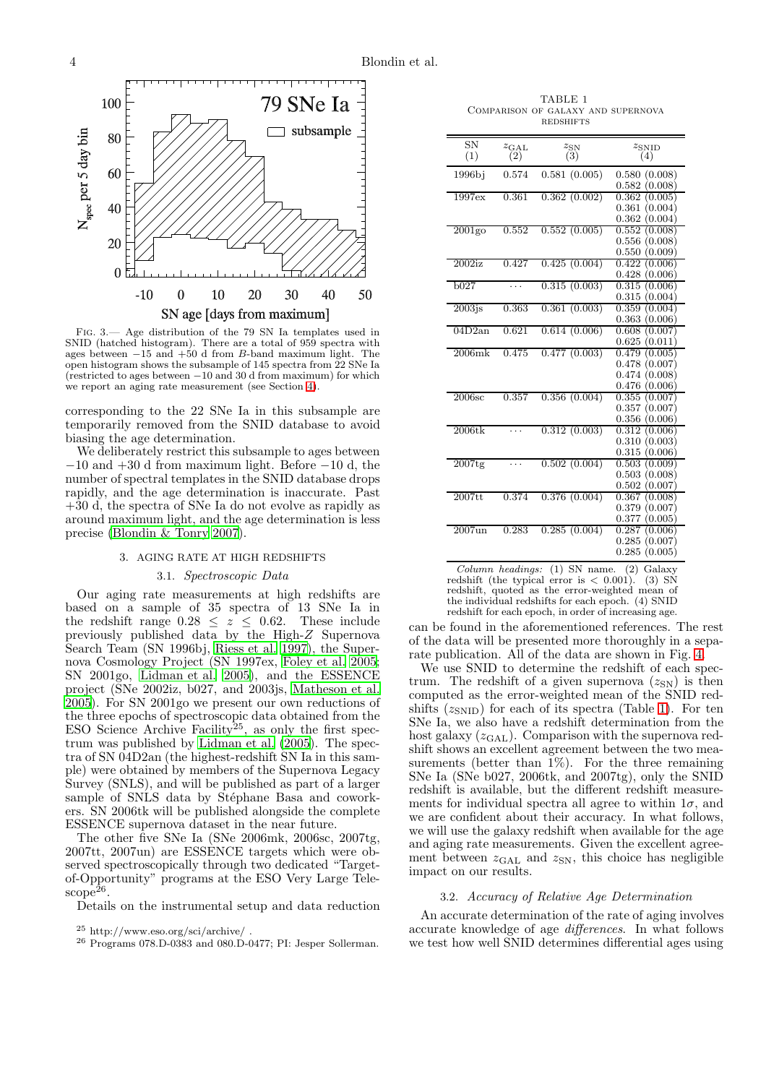

<span id="page-3-1"></span>Fig. 3.— Age distribution of the 79 SN Ia templates used in SNID (hatched histogram). There are a total of 959 spectra with ages between  $-15$  and  $+50$  d from B-band maximum light. The open histogram shows the subsample of 145 spectra from 22 SNe Ia (restricted to ages between −10 and 30 d from maximum) for which we report an aging rate measurement (see Section [4\)](#page-6-0).

corresponding to the 22 SNe Ia in this subsample are temporarily removed from the SNID database to avoid biasing the age determination.

We deliberately restrict this subsample to ages between  $-10$  and  $+30$  d from maximum light. Before  $-10$  d, the number of spectral templates in the SNID database drops rapidly, and the age determination is inaccurate. Past +30 d, the spectra of SNe Ia do not evolve as rapidly as around maximum light, and the age determination is less precise [\(Blondin & Tonry 2007](#page-12-3)).

# 3. AGING RATE AT HIGH REDSHIFTS

### 3.1. Spectroscopic Data

<span id="page-3-0"></span>Our aging rate measurements at high redshifts are based on a sample of 35 spectra of 13 SNe Ia in the redshift range  $0.28 \leq z \leq 0.62$ . These include previously published data by the High-Z Supernova Search Team (SN 1996bj, [Riess et al. 1997\)](#page-13-11), the Supernova Cosmology Project (SN 1997ex, [Foley et al. 2005;](#page-12-4) SN 2001go, [Lidman et al. 2005\)](#page-13-27), and the ESSENCE project (SNe 2002iz, b027, and 2003js, [Matheson et al.](#page-13-24) [2005\)](#page-13-24). For SN 2001go we present our own reductions of the three epochs of spectroscopic data obtained from the ESO Science Archive Facility<sup>25</sup>, as only the first spectrum was published by [Lidman et al. \(2005\)](#page-13-27). The spectra of SN 04D2an (the highest-redshift SN Ia in this sample) were obtained by members of the Supernova Legacy Survey (SNLS), and will be published as part of a larger sample of SNLS data by Stéphane Basa and coworkers. SN 2006tk will be published alongside the complete ESSENCE supernova dataset in the near future.

The other five SNe Ia (SNe 2006mk, 2006sc, 2007tg, 2007tt, 2007un) are ESSENCE targets which were observed spectroscopically through two dedicated "Targetof-Opportunity" programs at the ESO Very Large Tele- $\text{scope}^{\bar{2}6}.$ 

Details on the instrumental setup and data reduction

<span id="page-3-2"></span>TABLE 1 Comparison of galaxy and supernova **REDSHIFTS** 

| $_{\rm SN}$<br>(1)   | $z_{GAL}$<br>(2)                         | $z_{\rm SN}$<br>(3) | $z_{\rm SNID}$<br>(4) |
|----------------------|------------------------------------------|---------------------|-----------------------|
|                      |                                          |                     |                       |
| 1996bi               | 0.574                                    | 0.581(0.005)        | (0.008)<br>0.580      |
|                      |                                          |                     | (0.008)<br>0.582      |
| 1997ex               | $\;\:0.361$                              | 0.362(0.002)        | 0.362<br>(0.005)      |
|                      |                                          |                     | 0.361<br>(0.004)      |
|                      |                                          |                     | 0.362<br>(0.004)      |
| $2001$ go            | 0.552                                    | 0.552(0.005)        | 0.552<br>(0.008)      |
|                      |                                          |                     | 0.556<br>(0.008)      |
|                      |                                          |                     | (0.009)<br>0.550      |
| 2002iz               | 0.427                                    | 0.425(0.004)        | 0.422<br>(0.006)      |
|                      |                                          |                     | 0.428<br>(0.006)      |
| b027                 |                                          | 0.315(0.003)        | (0.006)<br>0.315      |
|                      |                                          |                     | 0.315<br>(0.004)      |
| $2003$ <sub>is</sub> | 0.363                                    | 0.361(0.003)        | 0.359<br>(0.004)      |
|                      |                                          |                     | 0.363<br>(0.006)      |
| 04D2an               | 0.621                                    | 0.614(0.006)        | (0.007)<br>0.608      |
|                      |                                          |                     | 0.625<br>(0.011)      |
| $2006\mathrm{mk}$    | 0.475                                    | 0.477(0.003)        | 0.479<br>(0.005)      |
|                      |                                          |                     | (0.007)<br>0.478      |
|                      |                                          |                     | (0.008)<br>0.474      |
|                      |                                          |                     | 0.476<br>(0.006)      |
| 2006sc               | 0.357                                    | 0.356(0.004)        | (0.007)<br>0.355      |
|                      |                                          |                     | (0.007)<br>0.357      |
|                      |                                          |                     | 0.356<br>(0.006)      |
| $2006$ tk            | .                                        | 0.312(0.003)        | 0.312<br>(0.006)      |
|                      |                                          |                     | (0.003)<br>0.310      |
|                      |                                          |                     | 0.315<br>(0.006)      |
| $2007$ tg            | .                                        | 0.502(0.004)        | 0.503<br>(0.009)      |
|                      |                                          |                     | (0.008)<br>0.503      |
|                      |                                          |                     | 0.502<br>(0.007)      |
| $2007$ tt            | 0.374                                    | 0.376(0.004)        | 0.367<br>(0.008)      |
|                      |                                          |                     | (0.007)<br>0.379      |
|                      |                                          |                     | 0.377<br>(0.005)      |
| $2007$ un            | 0.283                                    | 0.285(0.004)        | 0.287<br>(0.006)      |
|                      |                                          |                     | (0.007)<br>0.285      |
|                      |                                          |                     | (0.005)<br>0.285      |
| $\sim$ $\sim$        | $\mathbf{r}$<br>$\overline{\phantom{a}}$ | $(1)$ $(2)$         | $\sim$                |

*Column headings:* (1) SN name. (2) Galaxy redshift (the typical error is < 0.001). (3) SN redshift, quoted as the error-weighted mean of the individual redshifts for each epoch. (4) SNID redshift for each epoch, in order of increasing age.

can be found in the aforementioned references. The rest of the data will be presented more thoroughly in a separate publication. All of the data are shown in Fig. [4.](#page-4-0)

We use SNID to determine the redshift of each spectrum. The redshift of a given supernova  $(z_{SN})$  is then computed as the error-weighted mean of the SNID redshifts  $(z_{\rm SNID})$  for each of its spectra (Table [1\)](#page-3-2). For ten SNe Ia, we also have a redshift determination from the host galaxy  $(z<sub>GAL</sub>)$ . Comparison with the supernova redshift shows an excellent agreement between the two measurements (better than 1%). For the three remaining SNe Ia (SNe b027, 2006tk, and 2007tg), only the SNID redshift is available, but the different redshift measurements for individual spectra all agree to within  $1\sigma$ , and we are confident about their accuracy. In what follows, we will use the galaxy redshift when available for the age and aging rate measurements. Given the excellent agreement between  $z_{GAL}$  and  $z_{SN}$ , this choice has negligible impact on our results.

#### 3.2. Accuracy of Relative Age Determination

<span id="page-3-3"></span>An accurate determination of the rate of aging involves accurate knowledge of age differences. In what follows we test how well SNID determines differential ages using

 $^{25}$ http://www.eso.org/sci/archive/  $\cdot$ 

 $^{26}$  Programs 078.D-0383 and 080.D-0477; PI: Jesper Sollerman.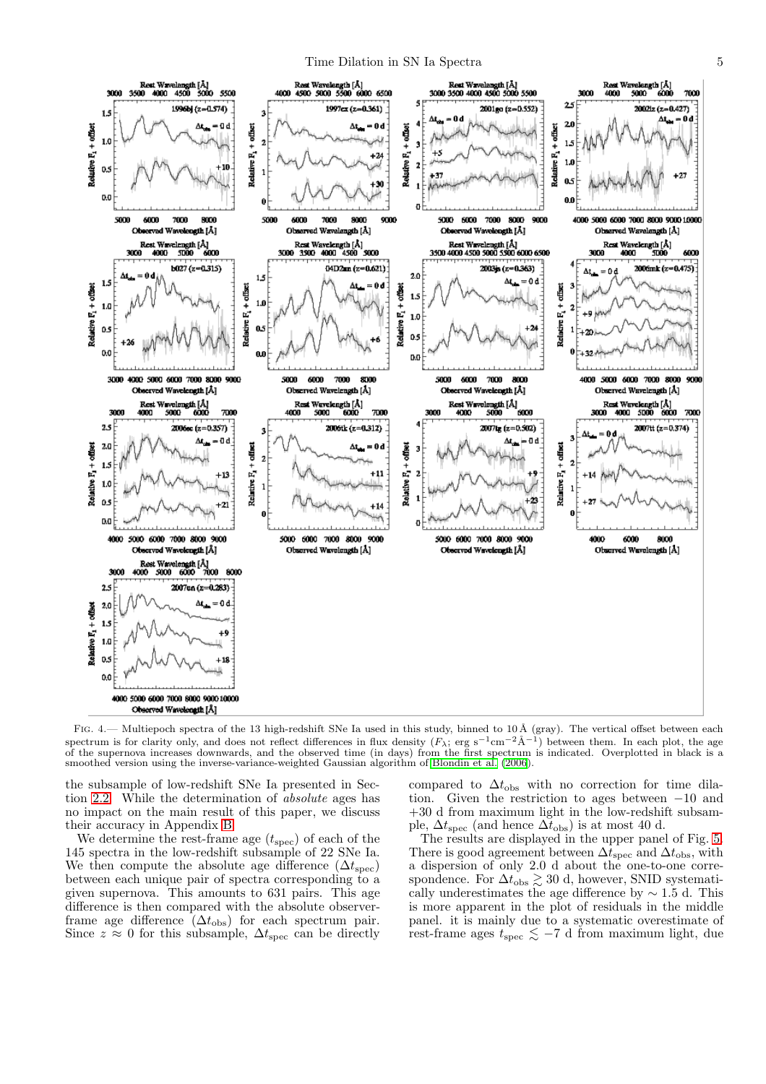

<span id="page-4-0"></span>FIG. 4.— Multiepoch spectra of the 13 high-redshift SNe Ia used in this study, binned to  $10 \text{ Å}$  (gray). The vertical offset between each spectrum is for clarity only, and does not reflect differences in flux density  $(F_{\lambda}; \text{ erg s}^{-1} \text{cm}^{-2} \text{\AA}^{-1})$  between them. In each plot, the age of the supernova increases downwards, and the observed time (in days) from the first spectrum is indicated. Overplotted in black is a smoothed version using the inverse-variance-weighted Gaussian algorithm of [Blondin et al. \(2006](#page-12-6)).

the subsample of low-redshift SNe Ia presented in Section [2.2.](#page-2-1) While the determination of absolute ages has no impact on the main result of this paper, we discuss their accuracy in Appendix [B.](#page-11-0)

We determine the rest-frame age  $(t_{\text{spec}})$  of each of the 145 spectra in the low-redshift subsample of 22 SNe Ia. We then compute the absolute age difference  $(\Delta t_{\rm spec})$ between each unique pair of spectra corresponding to a given supernova. This amounts to 631 pairs. This age difference is then compared with the absolute observerframe age difference  $(\Delta t_{\rm obs})$  for each spectrum pair. Since  $z \approx 0$  for this subsample,  $\Delta t_{\rm spec}$  can be directly

compared to  $\Delta t_{\rm obs}$  with no correction for time dilation. Given the restriction to ages between −10 and +30 d from maximum light in the low-redshift subsample,  $\Delta t_{\text{spec}}$  (and hence  $\Delta t_{\text{obs}}$ ) is at most 40 d.

The results are displayed in the upper panel of Fig. [5.](#page-5-0) There is good agreement between  $\Delta t_{\text{spec}}$  and  $\Delta t_{\text{obs}}$ , with a dispersion of only 2.0 d about the one-to-one correspondence. For  $\Delta t_{\rm obs} \gtrsim 30$  d, however, SNID systematically underestimates the age difference by  $\sim 1.5$  d. This is more apparent in the plot of residuals in the middle panel. it is mainly due to a systematic overestimate of rest-frame ages  $t_{\rm spec} \lesssim -7$  d from maximum light, due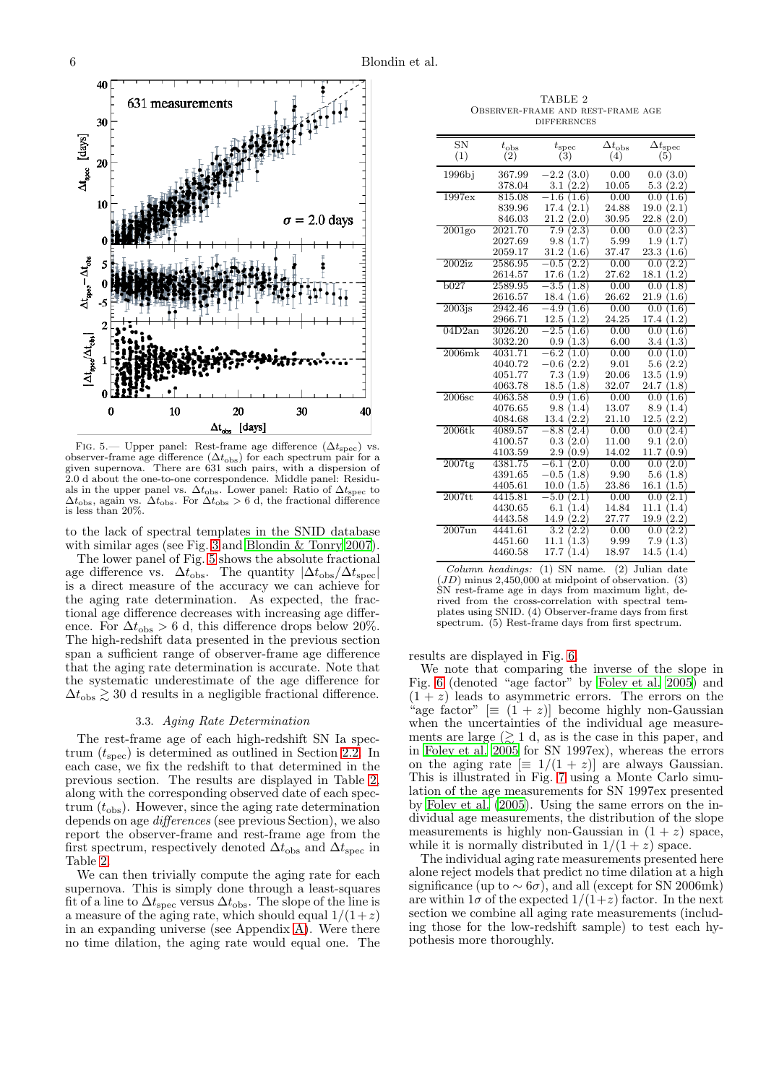

<span id="page-5-0"></span>FIG. 5.— Upper panel: Rest-frame age difference  $(\Delta t_{\rm spec})$  vs. observer-frame age difference  $(\Delta t_{\rm obs})$  for each spectrum pair for a given supernova. There are 631 such pairs, with a dispersion of 2.0 d about the one-to-one correspondence. Middle panel: Residuals in the upper panel vs.  $\Delta t_{\rm obs}$ . Lower panel: Ratio of  $\Delta t_{\rm spec}$  to  $\Delta t_{\rm obs}$ , again vs.  $\Delta t_{\rm obs}$ . For  $\Delta t_{\rm obs} > 6$  d, the fractional difference is less than 20%.

to the lack of spectral templates in the SNID database with similar ages (see Fig. [3](#page-3-1) and [Blondin & Tonry 2007\)](#page-12-3).

The lower panel of Fig. [5](#page-5-0) shows the absolute fractional age difference vs.  $\Delta t_{\rm obs}$ . The quantity  $|\Delta t_{\rm obs}/\Delta t_{\rm spec}|$ is a direct measure of the accuracy we can achieve for the aging rate determination. As expected, the fractional age difference decreases with increasing age difference. For  $\Delta t_{\rm obs} > 6$  d, this difference drops below 20%. The high-redshift data presented in the previous section span a sufficient range of observer-frame age difference that the aging rate determination is accurate. Note that the systematic underestimate of the age difference for  $\Delta t_{\rm obs} \gtrsim 30$  d results in a negligible fractional difference.

#### 3.3. Aging Rate Determination

<span id="page-5-2"></span>The rest-frame age of each high-redshift SN Ia spectrum  $(t_{\text{spec}})$  is determined as outlined in Section [2.2.](#page-2-1) In each case, we fix the redshift to that determined in the previous section. The results are displayed in Table [2,](#page-5-1) along with the corresponding observed date of each spectrum  $(t_{\rm obs})$ . However, since the aging rate determination depends on age differences (see previous Section), we also report the observer-frame and rest-frame age from the first spectrum, respectively denoted  $\Delta t_{obs}$  and  $\Delta t_{spec}$  in Table [2.](#page-5-1)

We can then trivially compute the aging rate for each supernova. This is simply done through a least-squares fit of a line to  $\Delta t_{\rm spec}$  versus  $\Delta t_{\rm obs}$ . The slope of the line is a measure of the aging rate, which should equal  $1/(1+z)$ in an expanding universe (see Appendix [A\)](#page-9-0). Were there no time dilation, the aging rate would equal one. The

<span id="page-5-1"></span>TABLE 2 Observer-frame and rest-frame age **DIFFERENCES** 

| <b>SN</b> | $t_{\rm obs}$      | $t_{\rm spec}$                | $\Delta t_{\rm obs}$ | $\Delta t_{\rm spec}$           |
|-----------|--------------------|-------------------------------|----------------------|---------------------------------|
| (1)       | (2)                | (3)                           | (4)                  | (5)                             |
| 1996bj    | 367.99             | (3.0)<br>$-2.2\,$             | 0.00                 | 0.0(3.0)                        |
|           | 378.04             | 3.1<br>(2.2)                  | 10.05                | 5.3<br>(2.2)                    |
| 1997ex    | 815.08             | $-1.6$<br>Ί<br>.6)            | 0.00                 | 0.0<br>$1.6^{\circ}$            |
|           | 839.96             | (2.1)<br>17.4                 | 24.88                | (2.1)<br>19.0                   |
|           | 846.03             | (2.0)<br>21.2                 | 30.95                | (2.0)<br>22.8                   |
| $2001$ go | 2021.70            | 7.9<br>(2.3)                  | 0.00                 | $2.3^{\circ}$<br>0.0            |
|           | 2027.69            | 1.7)<br>9.8                   | 5.99                 | (1.7)<br>1.9                    |
|           | 2059.17            | (1.6)<br>31.2                 | 37.47                | $^{\prime}1.6^{\prime}$<br>23.3 |
| $2002$ iz | 2586.95            | $-0.5$<br>$2.2^{\circ}$       | 0.00                 | $2.2^{\circ}$<br>0.0            |
|           | 2614.57            | 1.2<br>17.6                   | 27.62                | 18.1<br>1.2                     |
| b027      | 2589.95            | 3.5<br>1.8                    | 0.00                 | 0.0<br>1.8                      |
|           | 2616.57            | 18.4<br>1.6                   | 26.62                | 21.9<br>1.6                     |
| $2003$ js | 2942.46            | $-4.9$<br>1.6                 | 0.00                 | 0.0<br>$1.6\,$                  |
|           | 2966.71            | 12.5<br>1.2)                  | 24.25                | 17.4<br>(1.2)                   |
| 04D2an    | 3026.20            | $-2.5$<br>1.6)                | 0.00                 | 0.0<br>$1.6^{\circ}$            |
|           | 3032.20            | 1.3<br>0.9                    | 6.00                 | 1.3<br>3.4                      |
| $2006$ mk | 4031.71            | 6.2<br>0                      | 0.00                 | 0.0<br>1<br>.0                  |
|           | 4040.72            | (2.2)<br>$-0.6$               | 9.01                 | (2.2)<br>5.6                    |
|           | 4051.77            | 7.3<br>(1.9)                  | 20.06                | 13.5<br>1.9                     |
|           | 4063.78            | 18.5<br>1.8                   | 32.07                | 24.7<br>1.8                     |
| 2006sc    | 4063.58            | 0.9<br>1.6                    | 0.00                 | 0.0<br>$\overline{1.6}$         |
|           | 4076.65            | 1.4)<br>9.8                   | 13.07                | 1.4<br>8.9                      |
|           | 4084.68            | 13.4<br>$\left( 2.2\right)$   | 21.10                | 12.5<br>2.2                     |
| $2006$ tk | 4089.57            | 8.8<br>$2.4^{\circ}$          | 0.00                 | 2.4<br>0.0                      |
|           | 4100.57            | (2.0)<br>0.3                  | 11.00                | 2.0<br>9.1                      |
|           | 4103.59            | 2.9<br>0.9                    | 14.02                | 11.7<br>0.9                     |
| $2007$ tg | 4381.75            | -6.1<br>2.0                   | 0.00                 | 0.0<br>2.0                      |
|           | 4391.65<br>4405.61 | $-0.5$<br>1.8)<br>1.5<br>10.0 | 9.90<br>23.86        | 5.6<br>(1.8)<br>1.5<br>16.1     |
| $2007$ tt | 4415.81            | $-5.0$<br>2.1                 |                      | 2.1<br>0.0                      |
|           | 4430.65            | (1.4)<br>6.1                  | 0.00<br>14.84        | 11.1<br>(1.4)                   |
|           | 4443.58            | $2.2^{\circ}$<br>14.9         | 27.77                | 2.2<br>19.9                     |
| $2007$ un | 4441.61            | $3.2\,$<br>$2.2^\circ$        | 0.00                 | (2.2)<br>0.0                    |
|           | 4451.60            | 1.3<br>11.1                   | 9.99                 | 7.9<br>(1.3)                    |
|           | 4460.58            | 17.7<br>(1.4)                 | 18.97                | (1.4)<br>14.5                   |
|           |                    |                               |                      |                                 |

*Column headings:* (1) SN name. (2) Julian date  $(JD)$  minus 2,450,000 at midpoint of observation. (3) SN rest-frame age in days from maximum light, derived from the cross-correlation with spectral templates using SNID. (4) Observer-frame days from first spectrum. (5) Rest-frame days from first spectrum.

results are displayed in Fig. [6.](#page-6-1)

We note that comparing the inverse of the slope in Fig. [6](#page-6-1) (denoted "age factor" by [Foley et al. 2005\)](#page-12-4) and  $(1 + z)$  leads to asymmetric errors. The errors on the "age factor"  $[\equiv (1 + z)]$  become highly non-Gaussian when the uncertainties of the individual age measurements are large  $($  $\geq 1$  d, as is the case in this paper, and in [Foley et al. 2005](#page-12-4) for SN 1997ex), whereas the errors on the aging rate  $[\equiv 1/(1 + z)]$  are always Gaussian. This is illustrated in Fig. [7](#page-6-2) using a Monte Carlo simulation of the age measurements for SN 1997ex presented by [Foley et al. \(2005\)](#page-12-4). Using the same errors on the individual age measurements, the distribution of the slope measurements is highly non-Gaussian in  $(1 + z)$  space, while it is normally distributed in  $1/(1+z)$  space.

The individual aging rate measurements presented here alone reject models that predict no time dilation at a high significance (up to  $\sim 6\sigma$ ), and all (except for SN 2006mk) are within  $1\sigma$  of the expected  $1/(1+z)$  factor. In the next section we combine all aging rate measurements (including those for the low-redshift sample) to test each hypothesis more thoroughly.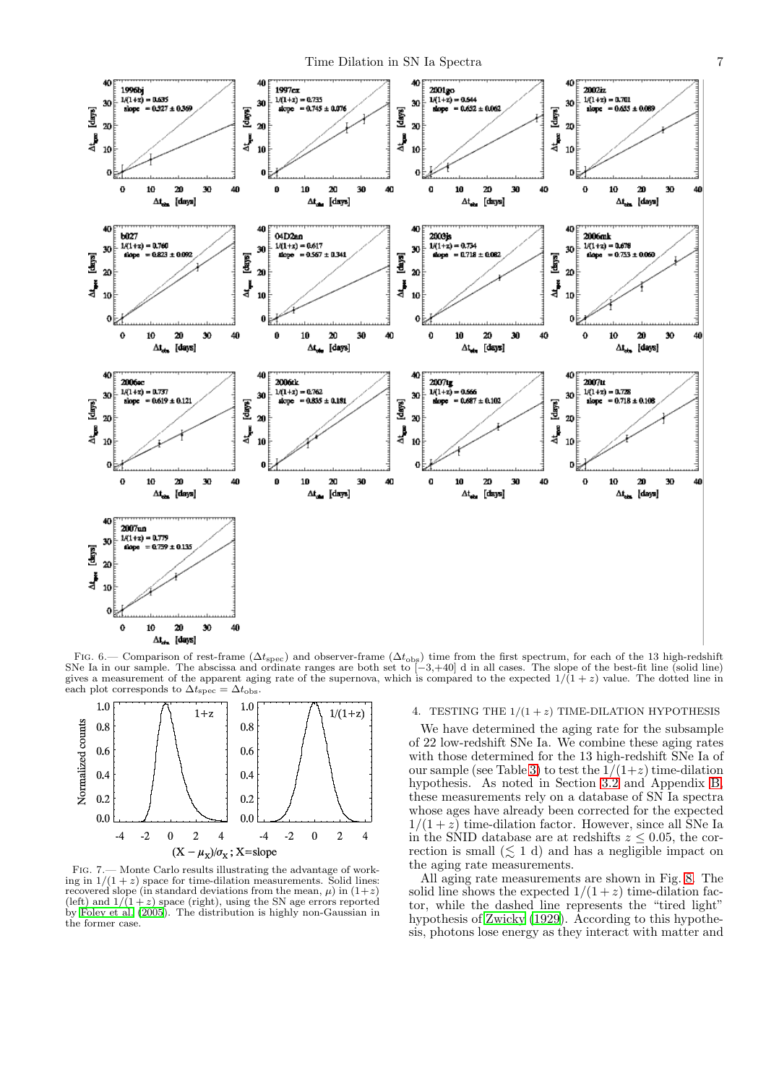

<span id="page-6-1"></span>FIG. 6.— Comparison of rest-frame ( $\Delta t_{\rm spec}$ ) and observer-frame ( $\Delta t_{\rm obs}$ ) time from the first spectrum, for each of the 13 high-redshift<br>SNe Ia in our sample. The abscissa and ordinate ranges are both set to [-3,+40] gives a measurement of the apparent aging rate of the supernova, which is compared to the expected  $1/(1+z)$  value. The dotted line in each plot corresponds to  $\Delta t_{\text{spec}} = \Delta t_{\text{obs}}$ . each plot corresponds to  $\Delta t_{\rm spec}$ 



<span id="page-6-2"></span>Fig. 7.— Monte Carlo results illustrating the advantage of working in  $1/(1+z)$  space for time-dilation measurements. Solid lines: recovered slope (in standard deviations from the mean,  $\mu$ ) in  $(1+z)$ (left) and  $1/(1+z)$  space (right), using the SN age errors reported by [Foley et al. \(2005](#page-12-4)). The distribution is highly non-Gaussian in the former case.

## <span id="page-6-0"></span>4. TESTING THE  $1/(1 + z)$  TIME-DILATION HYPOTHESIS

We have determined the aging rate for the subsample of 22 low-redshift SNe Ia. We combine these aging rates with those determined for the 13 high-redshift SNe Ia of our sample (see Table [3\)](#page-7-0) to test the  $1/(1+z)$  time-dilation hypothesis. As noted in Section [3.2](#page-3-3) and Appendix [B,](#page-11-0) these measurements rely on a database of SN Ia spectra whose ages have already been corrected for the expected  $1/(1+z)$  time-dilation factor. However, since all SNe Ia in the SNID database are at redshifts  $z \leq 0.05$ , the correction is small  $(\leq 1 \text{ d})$  and has a negligible impact on the aging rate measurements.

All aging rate measurements are shown in Fig. [8.](#page-8-1) The solid line shows the expected  $1/(1+z)$  time-dilation factor, while the dashed line represents the "tired light" hypothesis of [Zwicky \(1929\)](#page-13-28). According to this hypothesis, photons lose energy as they interact with matter and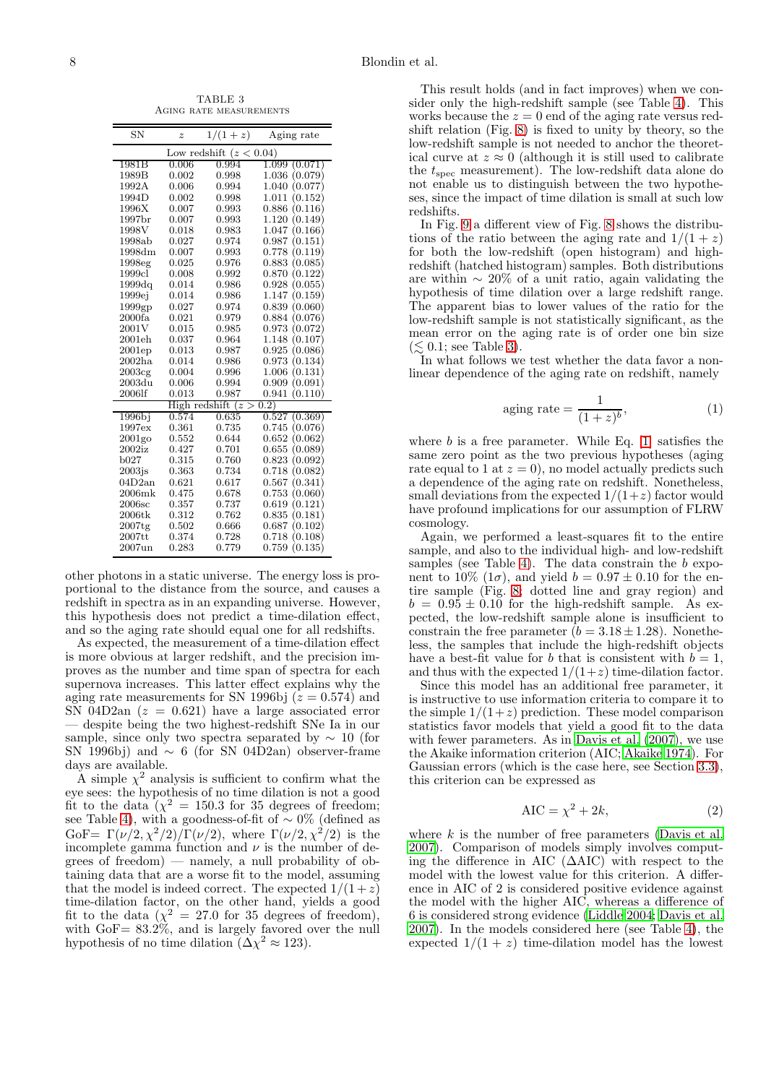<span id="page-7-0"></span>TABLE 3 Aging rate measurements

| <b>SN</b>          | $\boldsymbol{z}$ | $1/(1+z)$                | Aging rate       |
|--------------------|------------------|--------------------------|------------------|
|                    | Low redshift     | (z < 0.04)               |                  |
| 1981B              | 0.006            | 0.994                    | 1.099<br>(0.071) |
| 1989B              | 0.002            | 0.998                    | 1.036<br>(0.079) |
| 1992A              | 0.006            | 0.994                    | 1.040<br>(0.077  |
| 1994D              | 0.002            | 0.998                    | 1.011<br>(0.152  |
| 1996X              | 0.007            | 0.993                    | 0.886<br>(0.116) |
| 1997 <sub>br</sub> | 0.007            | 0.993                    | 1.120<br>(0.149  |
| 1998V              | 0.018            | 0.983                    | 1.047<br>(0.166) |
| 1998ab             | 0.027            | 0.974                    | 0.987<br>(0.151) |
| 1998dm             | 0.007            | 0.993                    | 0.778<br>(0.119) |
| 1998eg             | 0.025            | 0.976                    | 0.883<br>(0.085  |
| 1999cl             | 0.008            | 0.992                    | 0.870<br>(0.122  |
| 1999dq             | 0.014            | 0.986                    | 0.928<br>(0.055) |
| 1999ej             | 0.014            | 0.986                    | 1.147<br>(0.159) |
| 1999gp             | 0.027            | 0.974                    | 0.839<br>(0.060) |
| 2000fa             | 0.021            | 0.979                    | 0.884<br>(0.076) |
| 2001V              | 0.015            | 0.985                    | 0.973<br>(0.072) |
| 2001eh             | 0.037            | 0.964                    | 1.148<br>(0.107  |
| 2001ep             | 0.013            | 0.987                    | 0.925<br>(0.086  |
| $2002\mathrm{ha}$  | 0.014            | 0.986                    | 0.973<br>(0.134) |
| 2003c <sub>g</sub> | 0.004            | 0.996                    | 1.006<br>(0.131) |
| 2003du             | 0.006            | 0.994                    | (0.091)<br>0.909 |
| 2006lf             | 0.013            | 0.987                    | 0.941<br>0.110   |
|                    | High redshift    | $\geq$<br>$\overline{z}$ | (0.2)            |
| 1996bi             | 0.574            | 0.635                    | 0.527<br>(0.369) |
| 1997ex             | 0.361            | 0.735                    | 0.745<br>(0.076) |
| $2001$ go          | 0.552            | 0.644                    | 0.652<br>(0.062) |
| $2002$ iz          | 0.427            | 0.701                    | 0.655<br>(0.089  |
| $_{\rm b027}$      | 0.315            | 0.760                    | 0.823<br>(0.092  |
| $2003$ js          | 0.363            | 0.734                    | 0.718<br>(0.082) |
| 04D2an             | 0.621            | 0.617                    | (0.341)<br>0.567 |
| $2006$ m $k$       | 0.475            | 0.678                    | 0.753<br>(0.060) |
| 2006sc             | 0.357            | 0.737                    | 0.619<br>(0.121) |
| 2006tk             | 0.312            | 0.762                    | (0.181)<br>0.835 |
| $2007$ tg          | 0.502            | 0.666                    | 0.687<br>(0.102) |
| 2007tt             | 0.374            | 0.728                    | 0.718<br>(0.108  |
| $2007$ un          | 0.283            | 0.779                    | 0.759<br>(0.135) |

other photons in a static universe. The energy loss is proportional to the distance from the source, and causes a redshift in spectra as in an expanding universe. However, this hypothesis does not predict a time-dilation effect, and so the aging rate should equal one for all redshifts.

As expected, the measurement of a time-dilation effect is more obvious at larger redshift, and the precision improves as the number and time span of spectra for each supernova increases. This latter effect explains why the aging rate measurements for SN 1996bj  $(z = 0.574)$  and SN 04D2an  $(z = 0.621)$  have a large associated error — despite being the two highest-redshift SNe Ia in our sample, since only two spectra separated by  $\sim 10$  (for SN 1996bj) and  $\sim 6$  (for SN 04D2an) observer-frame days are available.

A simple  $\chi^2$  analysis is sufficient to confirm what the eye sees: the hypothesis of no time dilation is not a good fit to the data  $(\chi^2 = 150.3 \text{ for } 35 \text{ degrees of freedom};$ see Table [4\)](#page-8-2), with a goodness-of-fit of ∼ 0% (defined as GoF=  $\Gamma(\nu/2, \chi^2/2)/\Gamma(\nu/2)$ , where  $\Gamma(\nu/2, \chi^2/2)$  is the incomplete gamma function and  $\nu$  is the number of degrees of freedom) — namely, a null probability of obtaining data that are a worse fit to the model, assuming that the model is indeed correct. The expected  $1/(1+z)$ time-dilation factor, on the other hand, yields a good fit to the data ( $\chi^2 = 27.0$  for 35 degrees of freedom), with GoF= 83.2%, and is largely favored over the null hypothesis of no time dilation ( $\Delta \chi^2 \approx 123$ ).

This result holds (and in fact improves) when we consider only the high-redshift sample (see Table [4\)](#page-8-2). This works because the  $z = 0$  end of the aging rate versus redshift relation (Fig.  $8$ ) is fixed to unity by theory, so the low-redshift sample is not needed to anchor the theoretical curve at  $z \approx 0$  (although it is still used to calibrate the  $t_{\text{spec}}$  measurement). The low-redshift data alone do not enable us to distinguish between the two hypotheses, since the impact of time dilation is small at such low redshifts.

In Fig. [9](#page-9-1) a different view of Fig. [8](#page-8-1) shows the distributions of the ratio between the aging rate and  $1/(1 + z)$ for both the low-redshift (open histogram) and highredshift (hatched histogram) samples. Both distributions are within ∼ 20% of a unit ratio, again validating the hypothesis of time dilation over a large redshift range. The apparent bias to lower values of the ratio for the low-redshift sample is not statistically significant, as the mean error on the aging rate is of order one bin size  $(\leq 0.1; \text{ see Table 3}).$ 

In what follows we test whether the data favor a nonlinear dependence of the aging rate on redshift, namely

<span id="page-7-1"></span>
$$
aging rate = \frac{1}{(1+z)^b},\tag{1}
$$

where  $b$  is a free parameter. While Eq.  $[1]$  satisfies the same zero point as the two previous hypotheses (aging rate equal to 1 at  $z = 0$ , no model actually predicts such a dependence of the aging rate on redshift. Nonetheless, small deviations from the expected  $1/(1+z)$  factor would have profound implications for our assumption of FLRW cosmology.

Again, we performed a least-squares fit to the entire sample, and also to the individual high- and low-redshift samples (see Table [4\)](#page-8-2). The data constrain the  $b$  exponent to 10% (1 $\sigma$ ), and yield  $b = 0.97 \pm 0.10$  for the entire sample (Fig. [8;](#page-8-1) dotted line and gray region) and  $b = 0.95 \pm 0.10$  for the high-redshift sample. As expected, the low-redshift sample alone is insufficient to constrain the free parameter  $(b = 3.18 \pm 1.28)$ . Nonetheless, the samples that include the high-redshift objects have a best-fit value for b that is consistent with  $b = 1$ . and thus with the expected  $1/(1+z)$  time-dilation factor.

Since this model has an additional free parameter, it is instructive to use information criteria to compare it to the simple  $1/(1+z)$  prediction. These model comparison statistics favor models that yield a good fit to the data with fewer parameters. As in Davis et al.  $(2007)$ , we use the Akaike information criterion (AIC; [Akaike 1974\)](#page-12-9). For Gaussian errors (which is the case here, see Section [3.3\)](#page-5-2), this criterion can be expressed as

<span id="page-7-2"></span>
$$
AIC = \chi^2 + 2k,\tag{2}
$$

where  $k$  is the number of free parameters [\(Davis et al.](#page-12-8) [2007\)](#page-12-8). Comparison of models simply involves computing the difference in AIC (∆AIC) with respect to the model with the lowest value for this criterion. A difference in AIC of 2 is considered positive evidence against the model with the higher AIC, whereas a difference of 6 is considered strong evidence [\(Liddle 2004;](#page-13-29) [Davis et al.](#page-12-8) [2007\)](#page-12-8). In the models considered here (see Table [4\)](#page-8-2), the expected  $1/(1 + z)$  time-dilation model has the lowest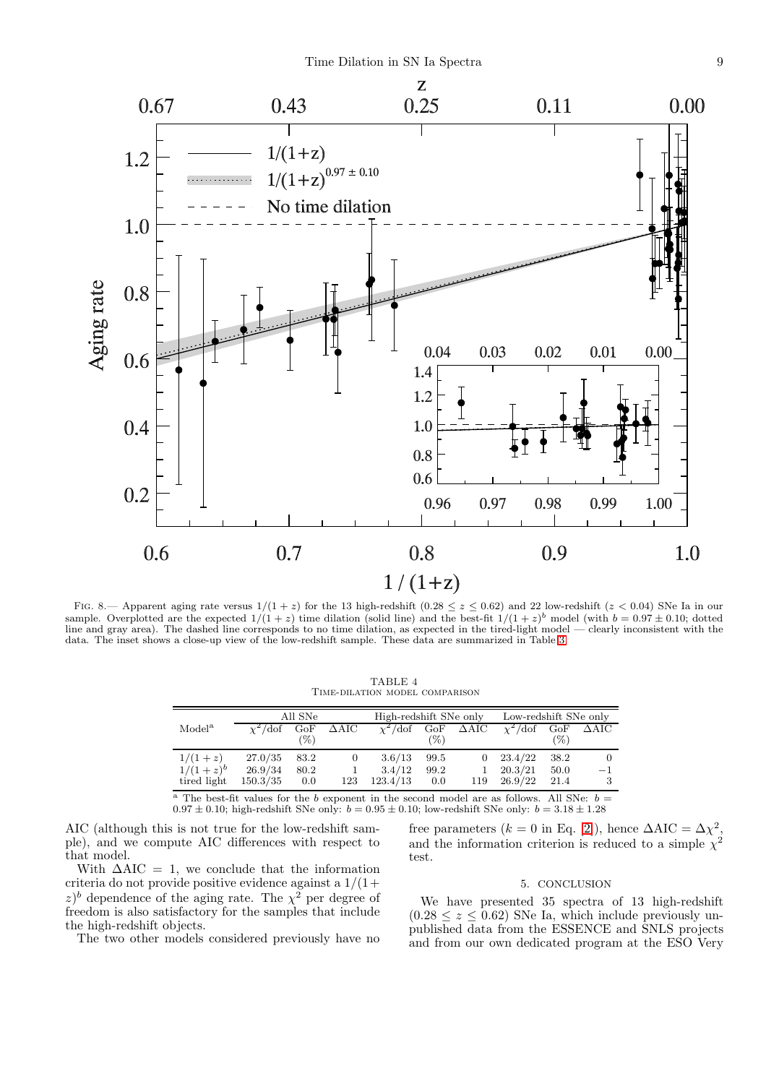

<span id="page-8-1"></span>FIG. 8.— Apparent aging rate versus  $1/(1+z)$  for the 13 high-redshift  $(0.28 \le z \le 0.62)$  and 22 low-redshift  $(z < 0.04)$  SNe Ia in our sample. Overplotted are the expected  $1/(1+z)$  time dilation (solid line) and the best-fit  $1/(1+z)^{b}$  model (with  $b = 0.97 \pm 0.10$ ; dotted line and gray area). The dashed line corresponds to no time dilation, as expected in the tired-light model — clearly inconsistent with the data. The inset shows a close-up view of the low-redshift sample. These data are summarized in Table [3.](#page-7-0)

| TABLE 4                        |  |  |  |  |  |
|--------------------------------|--|--|--|--|--|
| TIME-DILATION MODEL COMPARISON |  |  |  |  |  |

<span id="page-8-2"></span>

|                    |                | All SNe |                | High-redshift SNe only |        |                        | Low-redshift SNe only |        |                        |
|--------------------|----------------|---------|----------------|------------------------|--------|------------------------|-----------------------|--------|------------------------|
| Model <sup>a</sup> | $\chi^2$ /dof  | GoF     | $\Delta AIC$   | $\chi^2$ /dof          |        | $GoF \quad \Delta AIC$ | $\chi^2$ /dof         |        | $GoF \quad \Delta AIC$ |
|                    |                | $(\%)$  |                |                        | $(\%)$ |                        |                       | $(\%)$ |                        |
| $1/(1+z)$          | 27.0/35        | 83.2    | $\overline{0}$ | 3.6/13                 | 99.5   | $\theta$               | 23.4/22               | 38.2   |                        |
| $1/(1+z)^{b}$      | 26.9/34        | 80.2    | $\mathbf{1}$   | 3.4/12                 | 99.2   |                        | 20.3/21               | 50.0   | $-1$                   |
| tired light        | $150.3/35$ 0.0 |         | 123            | 123.4/13               | 0.0    | 119                    | 26.9/22               | 21.4   |                        |

<sup>a</sup> The best-fit values for the b exponent in the second model are as follows. All SNe:  $b =$  $0.97 \pm 0.10$ ; high-redshift SNe only:  $b = 0.95 \pm 0.10$ ; low-redshift SNe only:  $b = 3.18 \pm 1.28$ 

AIC (although this is not true for the low-redshift sample), and we compute AIC differences with respect to that model.

With  $\Delta AIC = 1$ , we conclude that the information criteria do not provide positive evidence against a  $1/(1+$ z)<sup>b</sup> dependence of the aging rate. The  $\chi^2$  per degree of freedom is also satisfactory for the samples that include the high-redshift objects.

The two other models considered previously have no

free parameters ( $k = 0$  in Eq. [\[2\]](#page-7-2)), hence  $\Delta AIC = \Delta \chi^2$ , and the information criterion is reduced to a simple  $\chi^2$ test.

## 5. CONCLUSION

<span id="page-8-0"></span>We have presented 35 spectra of 13 high-redshift  $(0.28 \le z \le 0.62)$  SNe Ia, which include previously unpublished data from the ESSENCE and SNLS projects and from our own dedicated program at the ESO Very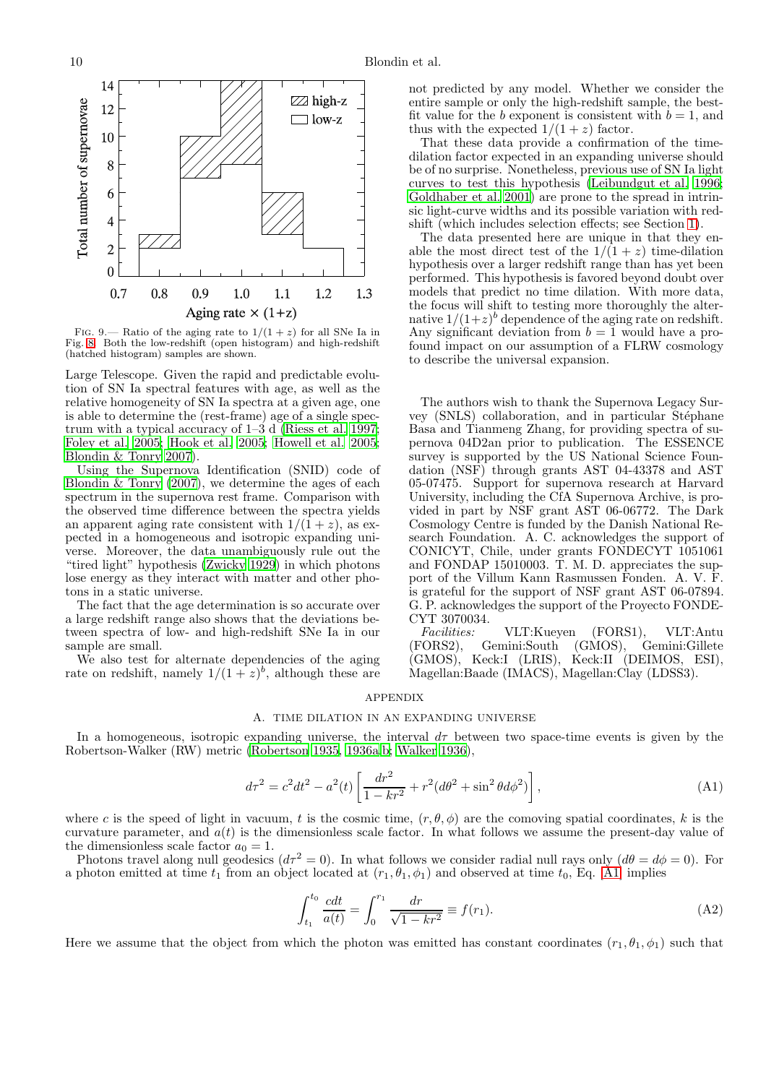

<span id="page-9-1"></span>FIG. 9.— Ratio of the aging rate to  $1/(1+z)$  for all SNe Ia in Fig. [8.](#page-8-1) Both the low-redshift (open histogram) and high-redshift (hatched histogram) samples are shown.

Large Telescope. Given the rapid and predictable evolution of SN Ia spectral features with age, as well as the relative homogeneity of SN Ia spectra at a given age, one is able to determine the (rest-frame) age of a single spectrum with a typical accuracy of 1–3 d [\(Riess et al. 1997;](#page-13-11) [Foley et al. 2005](#page-12-4); [Hook et al. 2005](#page-13-30); [Howell et al. 2005;](#page-13-12) [Blondin & Tonry 2007\)](#page-12-3).

Using the Supernova Identification (SNID) code of Blondin  $&$  Tonry (2007), we determine the ages of each spectrum in the supernova rest frame. Comparison with the observed time difference between the spectra yields an apparent aging rate consistent with  $1/(1 + z)$ , as expected in a homogeneous and isotropic expanding universe. Moreover, the data unambiguously rule out the "tired light" hypothesis [\(Zwicky 1929\)](#page-13-28) in which photons lose energy as they interact with matter and other photons in a static universe.

The fact that the age determination is so accurate over a large redshift range also shows that the deviations between spectra of low- and high-redshift SNe Ia in our sample are small.

We also test for alternate dependencies of the aging rate on redshift, namely  $1/(1+z)^b$ , although these are

not predicted by any model. Whether we consider the entire sample or only the high-redshift sample, the bestfit value for the b exponent is consistent with  $b = 1$ , and thus with the expected  $1/(1+z)$  factor.

That these data provide a confirmation of the timedilation factor expected in an expanding universe should be of no surprise. Nonetheless, previous use of SN Ia light curves to test this hypothesis [\(Leibundgut et al. 1996](#page-13-4); [Goldhaber et al. 2001\)](#page-12-1) are prone to the spread in intrinsic light-curve widths and its possible variation with redshift (which includes selection effects; see Section [1\)](#page-0-0).

The data presented here are unique in that they enable the most direct test of the  $1/(1+z)$  time-dilation hypothesis over a larger redshift range than has yet been performed. This hypothesis is favored beyond doubt over models that predict no time dilation. With more data, the focus will shift to testing more thoroughly the alternative  $1/(1+z)^b$  dependence of the aging rate on redshift. Any significant deviation from  $b = 1$  would have a profound impact on our assumption of a FLRW cosmology to describe the universal expansion.

The authors wish to thank the Supernova Legacy Survey (SNLS) collaboration, and in particular Stéphane Basa and Tianmeng Zhang, for providing spectra of supernova 04D2an prior to publication. The ESSENCE survey is supported by the US National Science Foundation (NSF) through grants AST 04-43378 and AST 05-07475. Support for supernova research at Harvard University, including the CfA Supernova Archive, is provided in part by NSF grant AST 06-06772. The Dark Cosmology Centre is funded by the Danish National Research Foundation. A. C. acknowledges the support of CONICYT, Chile, under grants FONDECYT 1051061 and FONDAP 15010003. T. M. D. appreciates the support of the Villum Kann Rasmussen Fonden. A. V. F. is grateful for the support of NSF grant AST 06-07894. G. P. acknowledges the support of the Proyecto FONDE-CYT 3070034.

Facilities: VLT:Kueyen (FORS1), VLT:Antu<br>(FORS2), Gemini:South (GMOS), Gemini:Gillete (FORS2), Gemini:South (GMOS), Gemini:Gillete (GMOS), Keck:I (LRIS), Keck:II (DEIMOS, ESI), Magellan:Baade (IMACS), Magellan:Clay (LDSS3).

### APPENDIX

# A. TIME DILATION IN AN EXPANDING UNIVERSE

<span id="page-9-0"></span>In a homogeneous, isotropic expanding universe, the interval  $d\tau$  between two space-time events is given by the Robertson-Walker (RW) metric [\(Robertson 1935](#page-13-31), [1936a](#page-13-32)[,b](#page-13-33); [Walker 1936](#page-13-34)),

<span id="page-9-2"></span>
$$
d\tau^2 = c^2 dt^2 - a^2(t) \left[ \frac{dr^2}{1 - kr^2} + r^2 (d\theta^2 + \sin^2 \theta d\phi^2) \right],
$$
 (A1)

where c is the speed of light in vacuum, t is the cosmic time,  $(r, \theta, \phi)$  are the comoving spatial coordinates, k is the curvature parameter, and  $a(t)$  is the dimensionless scale factor. In what follows we assume the present-day value of the dimensionless scale factor  $a_0 = 1$ .

Photons travel along null geodesics  $(d\tau^2 = 0)$ . In what follows we consider radial null rays only  $(d\theta = d\phi = 0)$ . For a photon emitted at time  $t_1$  from an object located at  $(r_1, \theta_1, \phi_1)$  and observed at time  $t_0$ , Eq. [\[A1\]](#page-9-2) implies

<span id="page-9-3"></span>
$$
\int_{t_1}^{t_0} \frac{cdt}{a(t)} = \int_0^{r_1} \frac{dr}{\sqrt{1 - kr^2}} \equiv f(r_1).
$$
 (A2)

Here we assume that the object from which the photon was emitted has constant coordinates  $(r_1, \theta_1, \phi_1)$  such that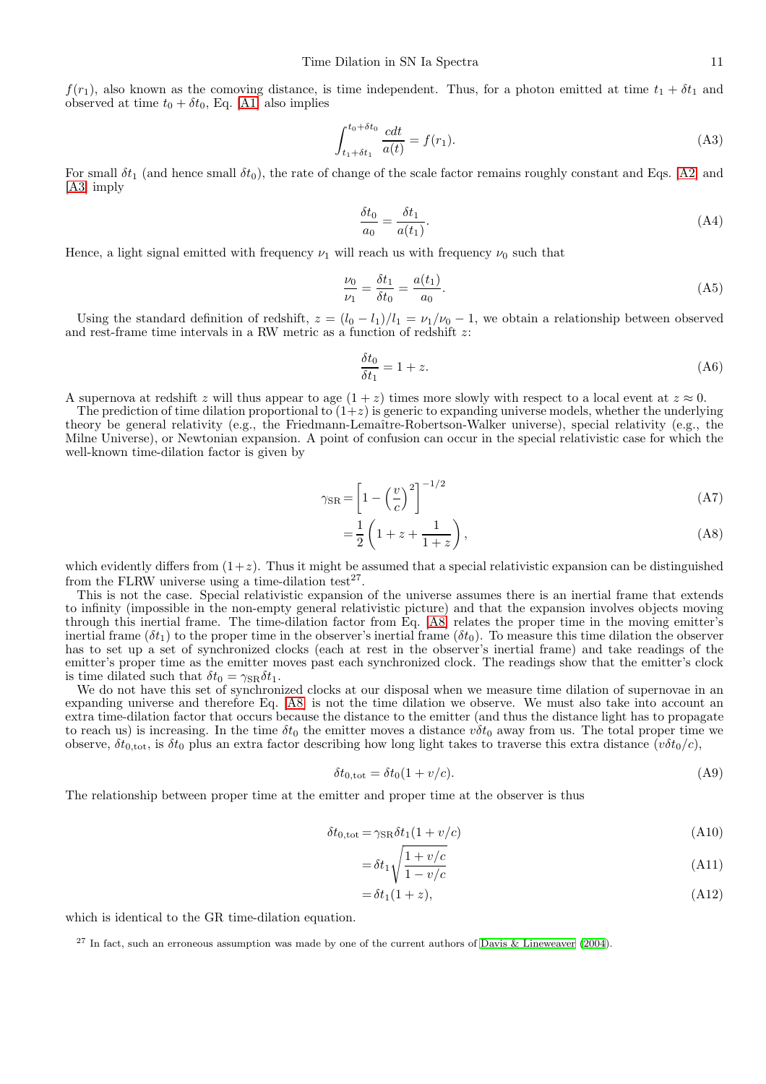$f(r_1)$ , also known as the comoving distance, is time independent. Thus, for a photon emitted at time  $t_1 + \delta t_1$  and observed at time  $t_0 + \delta t_0$ , Eq. [\[A1\]](#page-9-2) also implies

<span id="page-10-0"></span>
$$
\int_{t_1 + \delta t_1}^{t_0 + \delta t_0} \frac{cdt}{a(t)} = f(r_1). \tag{A3}
$$

For small  $\delta t_1$  (and hence small  $\delta t_0$ ), the rate of change of the scale factor remains roughly constant and Eqs. [\[A2\]](#page-9-3) and [\[A3\]](#page-10-0) imply

$$
\frac{\delta t_0}{a_0} = \frac{\delta t_1}{a(t_1)}.\tag{A4}
$$

Hence, a light signal emitted with frequency  $\nu_1$  will reach us with frequency  $\nu_0$  such that

$$
\frac{\nu_0}{\nu_1} = \frac{\delta t_1}{\delta t_0} = \frac{a(t_1)}{a_0}.
$$
\n(A5)

Using the standard definition of redshift,  $z = (l_0 - l_1)/l_1 = \nu_1/\nu_0 - 1$ , we obtain a relationship between observed and rest-frame time intervals in a RW metric as a function of redshift z:

<span id="page-10-2"></span>
$$
\frac{\delta t_0}{\delta t_1} = 1 + z. \tag{A6}
$$

A supernova at redshift z will thus appear to age  $(1 + z)$  times more slowly with respect to a local event at  $z \approx 0$ .

The prediction of time dilation proportional to  $(1+z)$  is generic to expanding universe models, whether the underlying theory be general relativity (e.g., the Friedmann-Lemaître-Robertson-Walker universe), special relativity (e.g., the Milne Universe), or Newtonian expansion. A point of confusion can occur in the special relativistic case for which the well-known time-dilation factor is given by

<span id="page-10-1"></span>
$$
\gamma_{\rm SR} = \left[1 - \left(\frac{v}{c}\right)^2\right]^{-1/2} \tag{A7}
$$

$$
=\frac{1}{2}\left(1+z+\frac{1}{1+z}\right),\tag{A8}
$$

which evidently differs from  $(1+z)$ . Thus it might be assumed that a special relativistic expansion can be distinguished from the FLRW universe using a time-dilation test<sup>27</sup>.

This is not the case. Special relativistic expansion of the universe assumes there is an inertial frame that extends to infinity (impossible in the non-empty general relativistic picture) and that the expansion involves objects moving through this inertial frame. The time-dilation factor from Eq. [\[A8\]](#page-10-1) relates the proper time in the moving emitter's inertial frame ( $\delta t_1$ ) to the proper time in the observer's inertial frame ( $\delta t_0$ ). To measure this time dilation the observer has to set up a set of synchronized clocks (each at rest in the observer's inertial frame) and take readings of the emitter's proper time as the emitter moves past each synchronized clock. The readings show that the emitter's clock is time dilated such that  $\delta t_0 = \gamma_{\rm SR} \delta t_1$ .

We do not have this set of synchronized clocks at our disposal when we measure time dilation of supernovae in an expanding universe and therefore Eq. [\[A8\]](#page-10-1) is not the time dilation we observe. We must also take into account an extra time-dilation factor that occurs because the distance to the emitter (and thus the distance light has to propagate to reach us) is increasing. In the time  $\delta t_0$  the emitter moves a distance  $v\delta t_0$  away from us. The total proper time we observe,  $\delta t_{0,\text{tot}}$ , is  $\delta t_0$  plus an extra factor describing how long light takes to traverse this extra distance  $(v\delta t_0/c)$ ,

$$
\delta t_{0,\text{tot}} = \delta t_0 (1 + v/c). \tag{A9}
$$

The relationship between proper time at the emitter and proper time at the observer is thus

$$
\delta t_{0,\text{tot}} = \gamma_{\text{SR}} \delta t_1 (1 + v/c) \tag{A10}
$$

$$
= \delta t_1 \sqrt{\frac{1 + v/c}{1 - v/c}} \tag{A11}
$$

$$
=\delta t_1(1+z),\tag{A12}
$$

which is identical to the GR time-dilation equation.

<sup>27</sup> In fact, such an erroneous assumption was made by one of the current authors of [Davis & Lineweaver \(2004](#page-12-10)).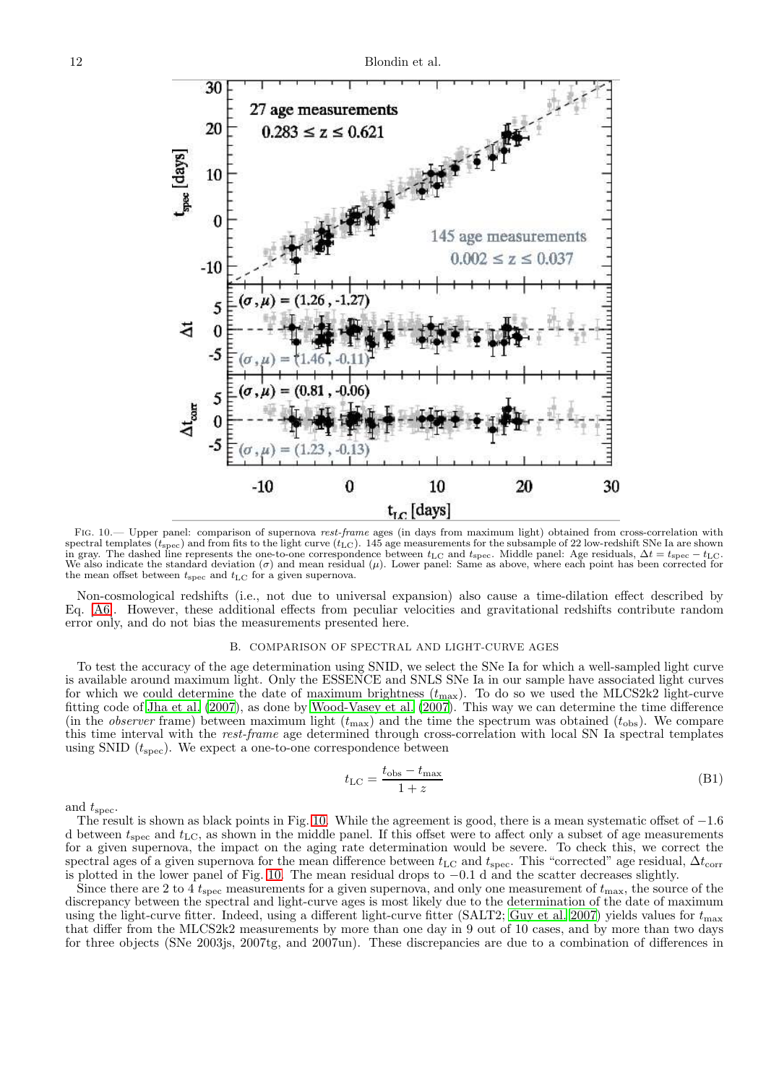

<span id="page-11-1"></span>Fig. 10.— Upper panel: comparison of supernova *rest-frame* ages (in days from maximum light) obtained from cross-correlation with spectral templates ( $t_{\rm spec}$ ) and from fits to the light curve ( $t_{\rm LC}$ ). 145 age measurements for the subsample of 22 low-redshift SNe Ia are shown<br>in gray. The dashed line represents the one-to-one correspondence betwe the mean offset between  $t_{\rm spec}$  and  $t_{\rm LC}$  for a given supernova.

Non-cosmological redshifts (i.e., not due to universal expansion) also cause a time-dilation effect described by Eq. [\[A6\]](#page-10-2). However, these additional effects from peculiar velocities and gravitational redshifts contribute random error only, and do not bias the measurements presented here.

# B. COMPARISON OF SPECTRAL AND LIGHT-CURVE AGES

<span id="page-11-0"></span>To test the accuracy of the age determination using SNID, we select the SNe Ia for which a well-sampled light curve is available around maximum light. Only the ESSENCE and SNLS SNe Ia in our sample have associated light curves for which we could determine the date of maximum brightness  $(t_{\text{max}})$ . To do so we used the MLCS2k2 light-curve fitting code of [Jha et al. \(2007\)](#page-13-8), as done by [Wood-Vasey et al. \(2007\)](#page-13-35). This way we can determine the time difference (in the *observer* frame) between maximum light  $(t_{\text{max}})$  and the time the spectrum was obtained  $(t_{\text{obs}})$ . We compare this time interval with the rest-frame age determined through cross-correlation with local SN Ia spectral templates using SNID  $(t_{\text{spec}})$ . We expect a one-to-one correspondence between

$$
t_{\rm LC} = \frac{t_{\rm obs} - t_{\rm max}}{1 + z} \tag{B1}
$$

and  $t_{\rm spec}$ .

The result is shown as black points in Fig. [10.](#page-11-1) While the agreement is good, there is a mean systematic offset of  $-1.6$ d between  $t_{\rm spec}$  and  $t_{\rm LC}$ , as shown in the middle panel. If this offset were to affect only a subset of age measurements for a given supernova, the impact on the aging rate determination would be severe. To check this, we correct the spectral ages of a given supernova for the mean difference between  $t_{\rm LC}$  and  $t_{\rm spec}$ . This "corrected" age residual,  $\Delta t_{\rm corr}$ is plotted in the lower panel of Fig. [10.](#page-11-1) The mean residual drops to −0.1 d and the scatter decreases slightly.

Since there are 2 to 4  $t_{\rm spec}$  measurements for a given supernova, and only one measurement of  $t_{\rm max}$ , the source of the discrepancy between the spectral and light-curve ages is most likely due to the determination of the date of maximum using the light-curve fitter. Indeed, using a different light-curve fitter (SALT2; [Guy et al. 2007](#page-12-11)) yields values for  $t_{\text{max}}$ that differ from the MLCS2k2 measurements by more than one day in 9 out of 10 cases, and by more than two days for three objects (SNe 2003js, 2007tg, and 2007un). These discrepancies are due to a combination of differences in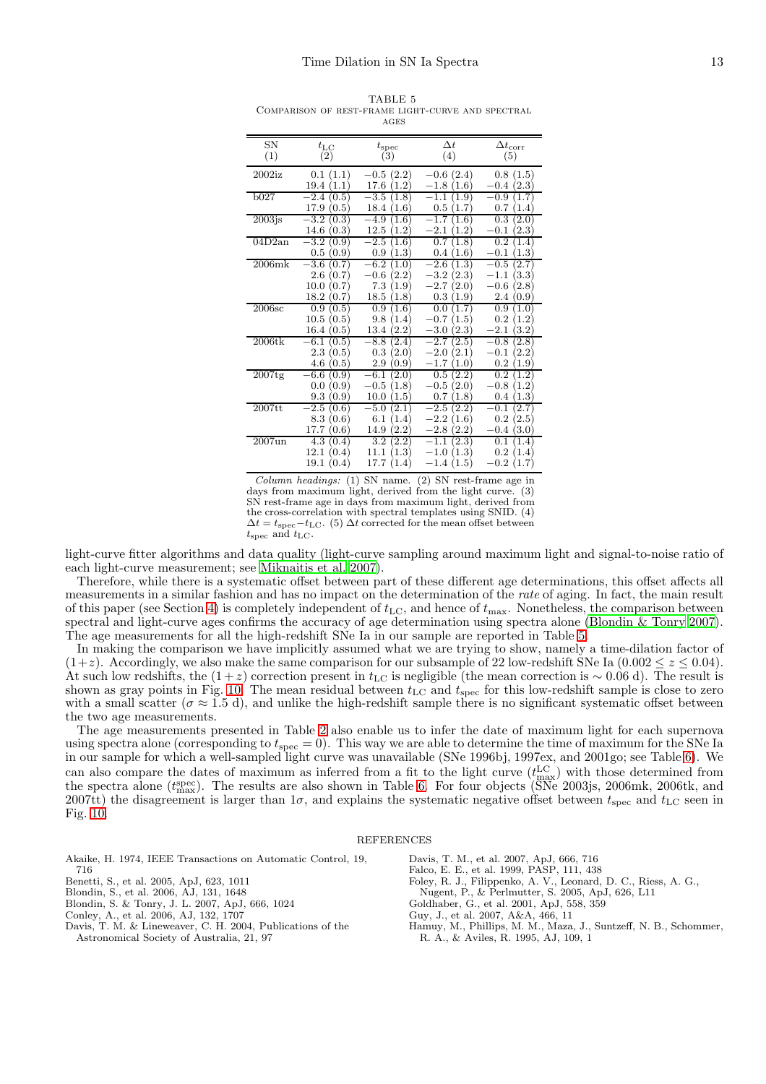|                   |                                               | AUDO                                                |                                                     |                                                                                         |
|-------------------|-----------------------------------------------|-----------------------------------------------------|-----------------------------------------------------|-----------------------------------------------------------------------------------------|
| SN                | $t_{\rm LC}$                                  | $t_{\rm spec}$                                      | $\Delta t$                                          | $\Delta t_{\rm corr}$                                                                   |
| (1)               | (2)                                           | (3)                                                 | (4)                                                 | (5)                                                                                     |
| $2002$ iz         | (1.1)<br>$0.1\,$<br>19.4<br>(1.1)             | $-0.5(2.2)$<br>17.6<br>(1.2)                        | $-0.6(2.4)$<br>$-1.8$<br>(1.6)                      | 0.8(1.5)<br>$-0.4$<br>(2.3)                                                             |
| b027              | $-2.4$                                        | $-3.5\,$                                            | 1.9                                                 | 0.9                                                                                     |
|                   | (0.5)                                         | (1.8)                                               | $^{-1.1}$                                           | 1.7                                                                                     |
|                   | 17.9                                          | 18.4                                                | $0.5\,$                                             | 0.7                                                                                     |
|                   | (0.5)                                         | (1.6)                                               | (1.7)                                               | (1.4)                                                                                   |
| $2003$ js         | $-3.2$                                        | $-4.9$                                              | $^{-1.7}$                                           | 0.3                                                                                     |
|                   | (0.3)                                         | 1.6)                                                | $1.6^{\circ}$                                       | 2.0                                                                                     |
|                   | 14.6                                          | 12.5                                                | $^{-2.1}$                                           | $^{ -0.1}$                                                                              |
|                   | (0.3)                                         | (1.2)                                               | 1.2)                                                | $\left[ 2.3\right]$                                                                     |
| 04D2an            | $-3.2$                                        | $-2.5$                                              | 0.7                                                 | $0.\overline{2}$                                                                        |
|                   | (0.9)                                         | 1.6)                                                | 1.8)                                                | $1.4\,$                                                                                 |
|                   | (0.9)                                         | (1.3)                                               | 0.4                                                 | 1.3                                                                                     |
|                   | 0.5                                           | 0.9                                                 | (1.6)                                               | $-0.1$                                                                                  |
| $2006\mathrm{mk}$ | $-3.6$                                        | $-6.2$                                              | (1.3)                                               | 2.7                                                                                     |
|                   | (0.7)                                         | (1.0)                                               | $^{-2.6}$                                           | $-0.5$                                                                                  |
|                   | 2.6                                           | (2.2)                                               | $-3.2$                                              | $-1.1$                                                                                  |
|                   | (0.7)                                         | $-0.6$                                              | (2.3)                                               | (3.3)                                                                                   |
|                   | 10.0                                          | 7.3                                                 | (2.0)                                               | $-0.6$                                                                                  |
|                   | (0.7)                                         | (1.9)                                               | $-2.7$                                              | (2.8)                                                                                   |
|                   | 18.2                                          | 18.5                                                | $0.3\,$                                             | 2.4                                                                                     |
|                   | (0.7)                                         | (1.8)                                               | (1.9)                                               | (0.9)                                                                                   |
| 2006sc            | 0.9                                           | 0.9                                                 | 1.7                                                 | 0.9                                                                                     |
|                   | (0.5)                                         | (1.6)                                               | 0.0                                                 | 1.0                                                                                     |
|                   | $10.5\,$                                      | 9.8                                                 | $-0.7$                                              | $0.2\,$                                                                                 |
|                   | (0.5)                                         | (1.4)                                               | (1.5)                                               | (1.2)                                                                                   |
|                   | 16.4                                          | 13.4                                                | $-3.0$                                              | $3.2^{\circ}$                                                                           |
|                   | (0.5)                                         | (2.2)                                               | $\left( 2.3\right)$                                 | $^{-2.1}$                                                                               |
| $2006$ tk         | $-6.1$                                        | $-8.8$                                              | $-2.7$                                              | 2.8                                                                                     |
|                   | (0.5)                                         | 2.4                                                 | $\left[ 2.5\right]$                                 | $-0.8$                                                                                  |
|                   | $2.3\,$                                       | $0.3\,$                                             | $-2.0$                                              | $-0.1$                                                                                  |
|                   | (0.5)                                         | (2.0)                                               | (2.1)                                               | $2.2^{\circ}$                                                                           |
|                   | 4.6                                           | 2.9                                                 | $-1.7$                                              | 0.2                                                                                     |
|                   | (0.5)                                         | [0.9]                                               | $1.0^{\circ}$                                       | $1.9\,$                                                                                 |
| $2007$ tg         | -6.6<br>(0.9)<br>0.0<br>(0.9)<br>9.3<br>(0.9) | $-6.1$<br>(2.0)<br>$-0.5$<br>(1.8)<br>10.0<br>(1.5) | (2.2)<br>$0.5\,$<br>(2.0)<br>$-0.5$<br>0.7<br>(1.8) | 0.2<br>$\cdot^2$<br>1<br>$-0.8$<br>$^{\prime}1.2^{\prime}$<br>$\left(1.3\right)$<br>0.4 |
| $2007$ tt         | $-2.5$                                        | (2.1)                                               | $-2.5$                                              | $-0.1$                                                                                  |
|                   | (0.6)                                         | $-5.0$                                              | (2.2)                                               | $^{\prime}2.7$                                                                          |
|                   | 8.3                                           | 6.1                                                 | $^{-2.2}$                                           | 0.2                                                                                     |
|                   | (0.6)                                         | 1.4)                                                | 1.6)                                                | (2.5)                                                                                   |
|                   | 17.7                                          | 14.9                                                | (2.2)                                               | $0.4\,$                                                                                 |
|                   | (0.6)                                         | (2.2)                                               | $-2.8$                                              | (3.0)                                                                                   |
| $2007$ un         | 4.3                                           | $3.\overline{2}$                                    | $-1.1$                                              | 0.1                                                                                     |
|                   | (0.4)                                         | (2.2)                                               | $\left( 2.3\right)$                                 | 1.4                                                                                     |
|                   | 12.1                                          | 11.1                                                | $-1.0$                                              | 0.2                                                                                     |
|                   | (0.4)                                         | 1.3)                                                | 1.3                                                 | 1.4                                                                                     |
|                   | 19.1                                          | 17.7                                                | (1.5)                                               | $-0.2$                                                                                  |
|                   | (0.4)                                         | (1.4)                                               | $-1.4$                                              | (1.7)                                                                                   |

<span id="page-12-12"></span>TABLE 5 Comparison of rest-frame light-curve and spectral ages

*Column headings:* (1) SN name. (2) SN rest-frame age in days from maximum light, derived from the light curve. (3) SN rest-frame age in days from maximum light, derived from the cross-correlation with spectral templates using SNID. (4)  $\Delta t = t_{\rm spec}-t_{\rm LC}$ . (5)  $\Delta t$  corrected for the mean offset between  $t_{\rm spec}$  and  $t_{\rm LC}$ .

light-curve fitter algorithms and data quality (light-curve sampling around maximum light and signal-to-noise ratio of each light-curve measurement; see [Miknaitis et al. 2007\)](#page-13-36).

Therefore, while there is a systematic offset between part of these different age determinations, this offset affects all measurements in a similar fashion and has no impact on the determination of the rate of aging. In fact, the main result of this paper (see Section [4\)](#page-6-0) is completely independent of  $t_{\rm LC}$ , and hence of  $t_{\rm max}$ . Nonetheless, the comparison between spectral and light-curve ages confirms the accuracy of age determination using spectra alone [\(Blondin & Tonry 2007](#page-12-3)). The age measurements for all the high-redshift SNe Ia in our sample are reported in Table [5.](#page-12-12)

In making the comparison we have implicitly assumed what we are trying to show, namely a time-dilation factor of  $(1+z)$ . Accordingly, we also make the same comparison for our subsample of 22 low-redshift SNe Ia  $(0.002 \le z \le 0.04)$ . At such low redshifts, the  $(1+z)$  correction present in  $t_{\text{LC}}$  is negligible (the mean correction is ~ 0.06 d). The result is shown as gray points in Fig. [10.](#page-11-1) The mean residual between  $t_{\text{LC}}$  and  $t_{\text{spec}}$  for this low-redshift sample is close to zero with a small scatter ( $\sigma \approx 1.5$  d), and unlike the high-redshift sample there is no significant systematic offset between the two age measurements.

The age measurements presented in Table [2](#page-5-1) also enable us to infer the date of maximum light for each supernova using spectra alone (corresponding to  $t_{\rm spec} = 0$ ). This way we are able to determine the time of maximum for the SNe Ia in our sample for which a well-sampled light curve was unavailable (SNe 1996bj, 1997ex, and 2001go; see Table [6\)](#page-13-37). We can also compare the dates of maximum as inferred from a fit to the light curve  $(t_{\text{max}}^{\text{LC}})$  with those determined from the spectra alone ( $t_{\text{max}}^{\text{spec}}$ ). The results are also shown in Table [6.](#page-13-37) For four objects ( $\overline{\text{SNe}}$  2003js, 2006mk, 2006tk, and 2007tt) the disagreement is larger than  $1\sigma$ , and explains the systematic negative offset between  $t_{\rm spec}$  and  $t_{\rm LC}$  seen in Fig. [10.](#page-11-1)

### **REFERENCES**

<span id="page-12-9"></span>Akaike, H. 1974, IEEE Transactions on Automatic Control, 19, 716 Benetti, S., et al. 2005, ApJ, 623, 1011 Blondin, S., et al. 2006, AJ, 131, 1648

<span id="page-12-6"></span><span id="page-12-5"></span><span id="page-12-3"></span>Blondin, S. & Tonry, J. L. 2007, ApJ, 666, 1024

<span id="page-12-0"></span>Conley, A., et al. 2006, AJ, 132, 1707

<span id="page-12-10"></span>Davis, T. M. & Lineweaver, C. H. 2004, Publications of the

Astronomical Society of Australia, 21, 97

<span id="page-12-8"></span>Davis, T. M., et al. 2007, ApJ, 666, 716

<span id="page-12-7"></span>Falco, E. E., et al. 1999, PASP, 111, 438

- <span id="page-12-4"></span>Foley, R. J., Filippenko, A. V., Leonard, D. C., Riess, A. G.,
- Nugent, P., & Perlmutter, S. 2005, ApJ, 626, L11
- <span id="page-12-1"></span>Goldhaber, G., et al. 2001, ApJ, 558, 359
- <span id="page-12-11"></span>Guy, J., et al. 2007, A&A, 466, 11
- <span id="page-12-2"></span>Hamuy, M., Phillips, M. M., Maza, J., Suntzeff, N. B., Schommer, R. A., & Aviles, R. 1995, AJ, 109, 1